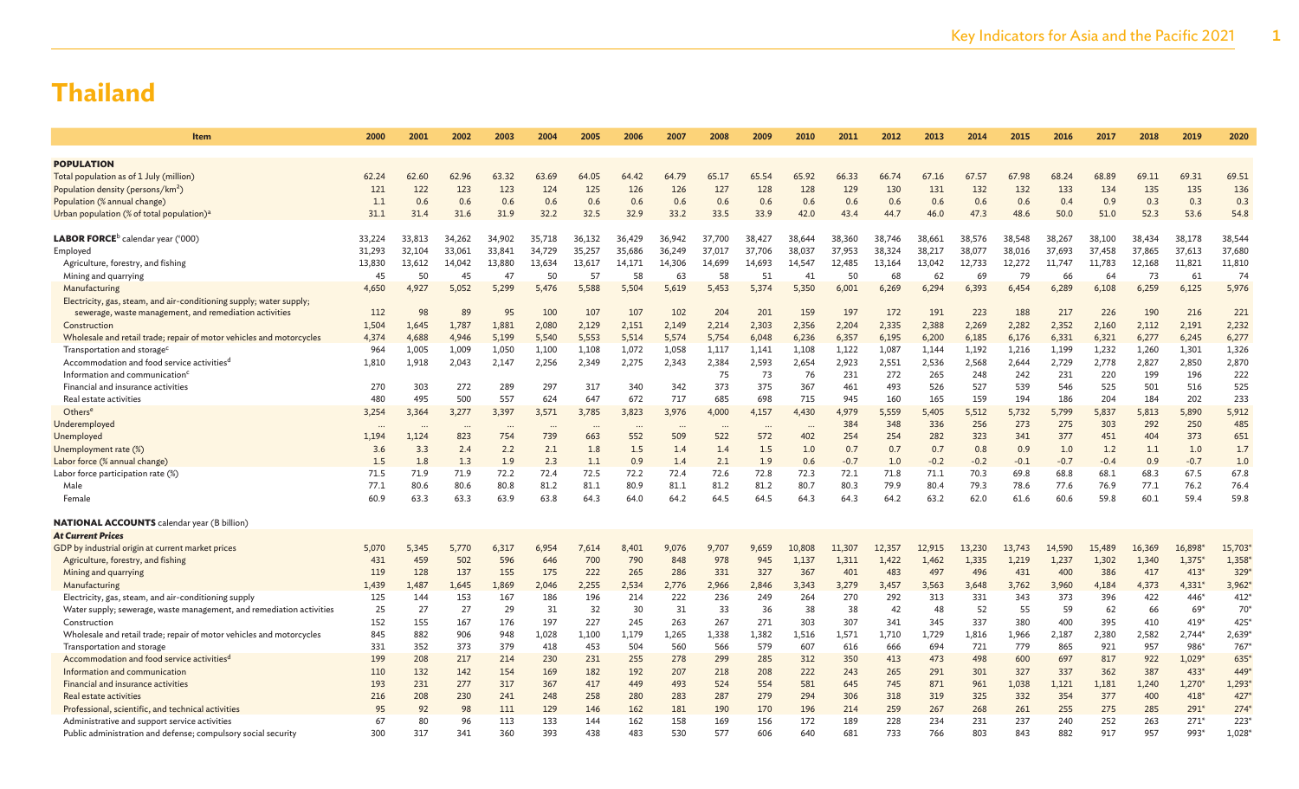| Item                                                                           | 2000      | 2001   | 2002   | 2003     | 2004     | 2005   | 2006   | 2007      | 2008     | 2009     | 2010      | 2011   | 2012   | 2013   | 2014   | 2015   | 2016   | 2017   | 2018   | 2019                 | 2020             |
|--------------------------------------------------------------------------------|-----------|--------|--------|----------|----------|--------|--------|-----------|----------|----------|-----------|--------|--------|--------|--------|--------|--------|--------|--------|----------------------|------------------|
|                                                                                |           |        |        |          |          |        |        |           |          |          |           |        |        |        |        |        |        |        |        |                      |                  |
| <b>POPULATION</b>                                                              |           |        |        |          |          |        |        |           |          |          |           |        |        |        |        |        |        |        |        |                      |                  |
| Total population as of 1 July (million)                                        | 62.24     | 62.60  | 62.96  | 63.32    | 63.69    | 64.05  | 64.42  | 64.79     | 65.17    | 65.54    | 65.92     | 66.33  | 66.74  | 67.16  | 67.57  | 67.98  | 68.24  | 68.89  | 69.11  | 69.31                | 69.51            |
| Population density (persons/km <sup>2</sup> )                                  | 121       | 122    | 123    | 123      | 124      | 125    | 126    | 126       | 127      | 128      | 128       | 129    | 130    | 131    | 132    | 132    | 133    | 134    | 135    | 135                  | 136              |
| Population (% annual change)                                                   | 1.1       | 0.6    | 0.6    | 0.6      | 0.6      | 0.6    | 0.6    | 0.6       | 0.6      | 0.6      | 0.6       | 0.6    | 0.6    | 0.6    | 0.6    | 0.6    | 0.4    | 0.9    | 0.3    | 0.3                  | 0.3              |
| Urban population (% of total population) <sup>a</sup>                          | 31.1      | 31.4   | 31.6   | 31.9     | 32.2     | 32.5   | 32.9   | 33.2      | 33.5     | 33.9     | 42.0      | 43.4   | 44.7   | 46.0   | 47.3   | 48.6   | 50.0   | 51.0   | 52.3   | 53.6                 | 54.8             |
|                                                                                |           |        |        |          |          |        |        |           |          |          |           |        |        |        |        |        |        |        |        |                      |                  |
| ${\sf LABOR}$ FORCE $^{\rm b}$ calendar year ('000)                            | 33,224    | 33,813 | 34,262 | 34,902   | 35,718   | 36,132 | 36,429 | 36,942    | 37,700   | 38,427   | 38,644    | 38,360 | 38,746 | 38,661 | 38,576 | 38,548 | 38,267 | 38,100 | 38,434 | 38.178               | 38,544           |
| Employed                                                                       | 31,293    | 32,104 | 33,061 | 33,841   | 34,729   | 35,257 | 35,686 | 36,249    | 37,017   | 37,706   | 38,037    | 37,953 | 38,324 | 38,217 | 38,077 | 38,016 | 37,693 | 37,458 | 37,865 | 37,613               | 37,680           |
| Agriculture, forestry, and fishing                                             | 13,830    | 13,612 | 14,042 | 13,880   | 13,634   | 13,617 | 14,171 | 14,306    | 14,699   | 14,693   | 14,547    | 12,485 | 13,164 | 13,042 | 12,733 | 12,272 | 11,747 | 11,783 | 12,168 | 11,821               | 11,810           |
| Mining and quarrying                                                           | 45        | 50     | 45     | 47       | 50       | 57     | 58     | 63        | 58       | 51       | 41        | 50     | 68     | 62     | 69     | 79     | 66     | 64     | 73     | 61                   | 74               |
| Manufacturing                                                                  | 4,650     | 4,927  | 5,052  | 5,299    | 5,476    | 5,588  | 5,504  | 5,619     | 5,453    | 5,374    | 5,350     | 6,001  | 6,269  | 6,294  | 6,393  | 6,454  | 6,289  | 6,108  | 6,259  | 6,125                | 5,976            |
| Electricity, gas, steam, and air-conditioning supply; water supply;            |           |        |        |          |          |        |        |           |          |          |           |        |        |        |        |        |        |        |        |                      |                  |
| sewerage, waste management, and remediation activities                         | 112       | 98     | 89     | 95       | 100      | 107    | 107    | 102       | 204      | 201      | 159       | 197    | 172    | 191    | 223    | 188    | 217    | 226    | 190    | 216                  | 221              |
| Construction                                                                   | 1,504     | 1,645  | 1,787  | 1,881    | 2,080    | 2,129  | 2,151  | 2,149     | 2,214    | 2,303    | 2,356     | 2,204  | 2,335  | 2,388  | 2,269  | 2,282  | 2,352  | 2,160  | 2,112  | 2,191                | 2,232            |
| Wholesale and retail trade; repair of motor vehicles and motorcycles           | 4,374     | 4,688  | 4,946  | 5,199    | 5,540    | 5,553  | 5,514  | 5,574     | 5,754    | 6,048    | 6,236     | 6,357  | 6,195  | 6,200  | 6,185  | 6,176  | 6,331  | 6,321  | 6,277  | 6,245                | 6,277            |
| Transportation and storage <sup>c</sup>                                        | 964       | 1,005  | 1,009  | 1,050    | 1,100    | 1,108  | 1,072  | 1,058     | 1,117    | 1,141    | 1,108     | 1,122  | 1,087  | 1,144  | 1,192  | 1,216  | 1,199  | 1,232  | 1,260  | 1,301                | 1,326            |
| Accommodation and food service activities <sup>d</sup>                         | 1.810     | 1,918  | 2,043  | 2,147    | 2,256    | 2,349  | 2,275  | 2,343     | 2,384    | 2,593    | 2,654     | 2,923  | 2,551  | 2,536  | 2,568  | 2,644  | 2,729  | 2,778  | 2,827  | 2,850                | 2,870            |
| Information and communication <sup>c</sup>                                     |           |        |        |          |          |        |        |           | 75       | 73       | 76        | 231    | 272    | 265    | 248    | 242    | 231    | 220    | 199    | 196                  | 222              |
| Financial and insurance activities                                             | 270       | 303    | 272    | 289      | 297      | 317    | 340    | 342       | 373      | 375      | 367       | 461    | 493    | 526    | 527    | 539    | 546    | 525    | 501    | 516                  | 525              |
| Real estate activities                                                         | 480       | 495    | 500    | 557      | 624      | 647    | 672    | 717       | 685      | 698      | 715       | 945    | 160    | 165    | 159    | 194    | 186    | 204    | 184    | 202                  | 233              |
| Others <sup><math>e</math></sup>                                               | 3,254     | 3,364  | 3,277  | 3,397    | 3,571    | 3,785  | 3,823  | 3,976     | 4,000    | 4,157    | 4,430     | 4,979  | 5,559  | 5,405  | 5,512  | 5,732  | 5,799  | 5,837  | 5,813  | 5,890                | 5,912            |
| Underemployed                                                                  | $\ddotsc$ |        |        | $\ddots$ | $\ddots$ |        |        | $\ddotsc$ | $\cdots$ | $\cdots$ | $\ddotsc$ | 384    | 348    | 336    | 256    | 273    | 275    | 303    | 292    | 250                  | 485              |
| Unemployed                                                                     | 1,194     | 1,124  | 823    | 754      | 739      | 663    | 552    | 509       | 522      | 572      | 402       | 254    | 254    | 282    | 323    | 341    | 377    | 451    | 404    | 373                  | 651              |
| Unemployment rate (%)                                                          | 3.6       | 3.3    | 2.4    | 2.2      | 2.1      | 1.8    | 1.5    | 1.4       | 1.4      | 1.5      | 1.0       | 0.7    | 0.7    | 0.7    | 0.8    | 0.9    | 1.0    | 1.2    | 1.1    | 1.0                  | 1.7              |
| Labor force (% annual change)                                                  | 1.5       | 1.8    | 1.3    | 1.9      | 2.3      | 1.1    | 0.9    | 1.4       | 2.1      | 1.9      | 0.6       | $-0.7$ | 1.0    | $-0.2$ | $-0.2$ | $-0.1$ | $-0.7$ | $-0.4$ | 0.9    | $-0.7$               | 1.0              |
| Labor force participation rate (%)                                             | 71.5      | 71.9   | 71.9   | 72.2     | 72.4     | 72.5   | 72.2   | 72.4      | 72.6     | 72.8     | 72.3      | 72.1   | 71.8   | 71.1   | 70.3   | 69.8   | 68.8   | 68.1   | 68.3   | 67.5                 | 67.8             |
| Male                                                                           | 77.1      | 80.6   | 80.6   | 80.8     | 81.2     | 81.1   | 80.9   | 81.1      | 81.2     | 81.2     | 80.7      | 80.3   | 79.9   | 80.4   | 79.3   | 78.6   | 77.6   | 76.9   | 77.1   | 76.2                 | 76.4             |
| Female                                                                         | 60.9      | 63.3   | 63.3   | 63.9     | 63.8     | 64.3   | 64.0   | 64.2      | 64.5     | 64.5     | 64.3      | 64.3   | 64.2   | 63.2   | 62.0   | 61.6   | 60.6   | 59.8   | 60.1   | 59.4                 | 59.8             |
|                                                                                |           |        |        |          |          |        |        |           |          |          |           |        |        |        |        |        |        |        |        |                      |                  |
| <b>NATIONAL ACCOUNTS</b> calendar year (B billion)<br><b>At Current Prices</b> |           |        |        |          |          |        |        |           |          |          |           |        |        |        |        |        |        |        |        |                      |                  |
| GDP by industrial origin at current market prices                              | 5,070     | 5,345  | 5,770  | 6,317    | 6,954    | 7,614  | 8,401  | 9,076     | 9,707    | 9,659    | 10,808    | 11,307 | 12,357 | 12,915 | 13,230 | 13,743 | 14,590 | 15,489 | 16,369 | 16,898               | 15,703           |
| Agriculture, forestry, and fishing                                             | 431       | 459    | 502    | 596      | 646      | 700    | 790    | 848       | 978      | 945      | 1,137     | 1,311  | 1,422  | 1,462  | 1,335  | 1,219  | 1,237  | 1,302  | 1,340  | $1,375$ <sup>*</sup> | 1,358            |
| Mining and quarrying                                                           | 119       | 128    | 137    | 155      | 175      | 222    | 265    | 286       | 331      | 327      | 367       | 401    | 483    | 497    | 496    | 431    | 400    | 386    | 417    | $413*$               | 329 <sup>*</sup> |
| Manufacturing                                                                  | 1.439     | 1,487  | 1.645  | 1,869    | 2,046    | 2.255  | 2,534  | 2,776     | 2,966    | 2,846    | 3.343     | 3.279  | 3,457  | 3,563  | 3.648  | 3,762  | 3,960  | 4,184  | 4,373  | 4,331*               | 3,962*           |
| Electricity, gas, steam, and air-conditioning supply                           | 125       | 144    | 153    | 167      | 186      | 196    | 214    | 222       | 236      | 249      | 264       | 270    | 292    | 313    | 331    | 343    | 373    | 396    | 422    | 446                  | 412*             |
| Water supply; sewerage, waste management, and remediation activities           | 25        | 27     | 27     | 29       | 31       | 32     | 30     | 31        | 33       | 36       | 38        | 38     | 42     | 48     | 52     | 55     | 59     | 62     | 66     | $69*$                | 70*              |
| Construction                                                                   | 152       | 155    | 167    | 176      | 197      | 227    | 245    | 263       | 267      | 271      | 303       | 307    | 341    | 345    | 337    | 380    | 400    | 395    | 410    | $419*$               | 425*             |
| Wholesale and retail trade; repair of motor vehicles and motorcycles           | 845       | 882    | 906    | 948      | 1,028    | 1,100  | 1,179  | 1,265     | 1,338    | 1,382    | 1,516     | 1,571  | 1,710  | 1.729  | 1,816  | 1,966  | 2,187  | 2,380  | 2,582  | $2,744*$             | $2,639*$         |
| Transportation and storage                                                     | 331       | 352    | 373    | 379      | 418      | 453    | 504    | 560       | 566      | 579      | 607       | 616    | 666    | 694    | 721    | 779    | 865    | 921    | 957    | 986*                 | 767*             |
| Accommodation and food service activities <sup>d</sup>                         | 199       | 208    | 217    | 214      | 230      | 231    | 255    | 278       | 299      | 285      | 312       | 350    | 413    | 473    | 498    | 600    | 697    | 817    | 922    | $1,029*$             | 635*             |
| Information and communication                                                  | 110       | 132    | 142    | 154      | 169      | 182    | 192    | 207       | 218      | 208      | 222       | 243    | 265    | 291    | 301    | 327    | 337    | 362    | 387    | $433*$               | 449*             |
| Financial and insurance activities                                             | 193       | 231    | 277    | 317      | 367      | 417    | 449    | 493       | 524      | 554      | 581       | 645    | 745    | 871    | 961    | 1,038  | 1,121  | 1,181  | 1,240  | 1,270*               | $1,293*$         |
| Real estate activities                                                         | 216       | 208    | 230    | 241      | 248      | 258    | 280    | 283       | 287      | 279      | 294       | 306    | 318    | 319    | 325    | 332    | 354    | 377    | 400    | $418*$               | 427*             |
| Professional, scientific, and technical activities                             | 95        | 92     | 98     | 111      | 129      | 146    | 162    | 181       | 190      | 170      | 196       | 214    | 259    | 267    | 268    | 261    | 255    | 275    | 285    | $291*$               | $274*$           |
| Administrative and support service activities                                  | 67        | 80     | 96     | 113      | 133      | 144    | 162    | 158       | 169      | 156      | 172       | 189    | 228    | 234    | 231    | 237    | 240    | 252    | 263    | $271*$               | 223*             |
| Public administration and defense; compulsory social security                  | 300       | 317    | 341    | 360      | 393      | 438    | 483    | 530       | 577      | 606      | 640       | 681    | 733    | 766    | 803    | 843    | 882    | 917    | 957    | 993*                 | 1,028*           |
|                                                                                |           |        |        |          |          |        |        |           |          |          |           |        |        |        |        |        |        |        |        |                      |                  |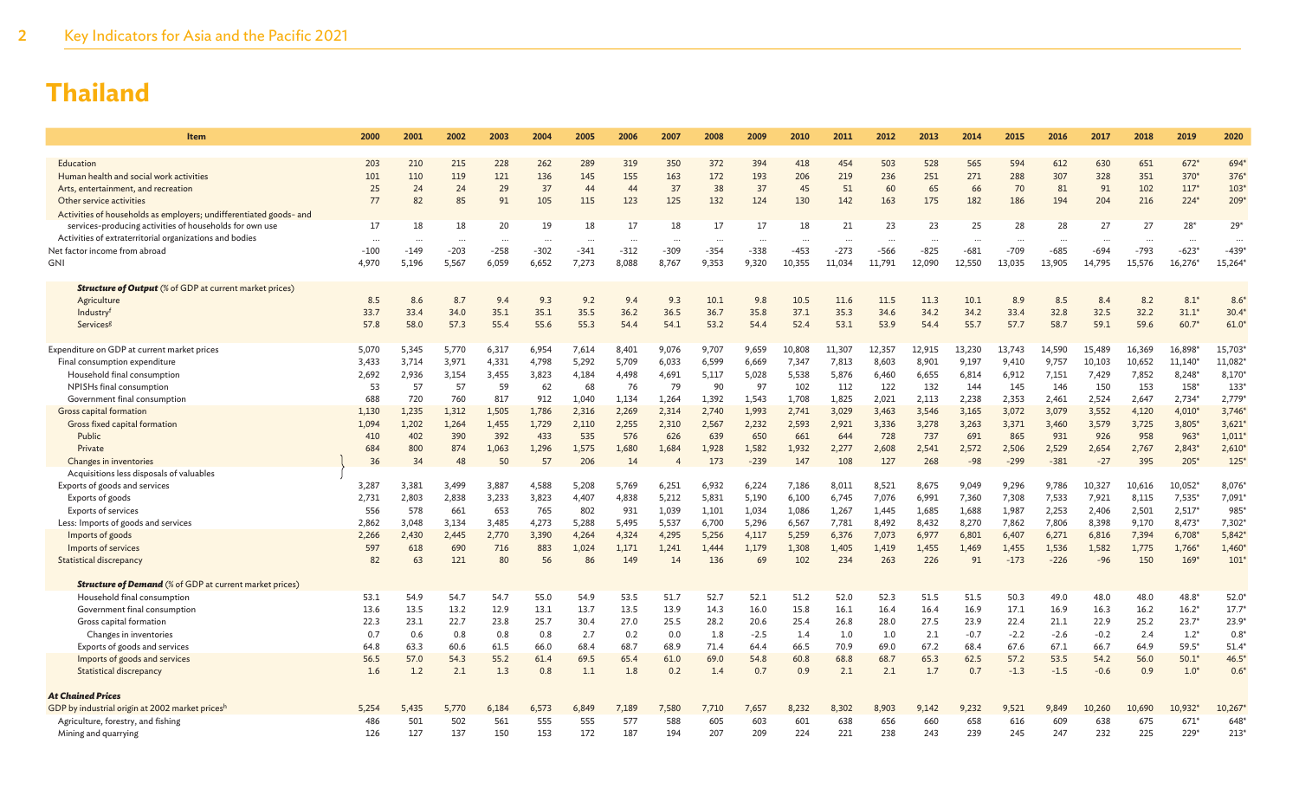| <b>Item</b>                                                        | 2000   | 2001     | 2002   | 2003      | 2004     | 2005     | 2006      | 2007           | 2008     | 2009     | 2010     | 2011   | 2012   | 2013          | 2014   | 2015     | 2016   | 2017      | 2018     | 2019                 | 2020     |
|--------------------------------------------------------------------|--------|----------|--------|-----------|----------|----------|-----------|----------------|----------|----------|----------|--------|--------|---------------|--------|----------|--------|-----------|----------|----------------------|----------|
|                                                                    |        |          |        |           |          |          |           |                |          |          |          |        |        |               |        |          |        |           |          |                      |          |
| Education                                                          | 203    | 210      | 215    | 228       | 262      | 289      | 319       | 350            | 372      | 394      | 418      | 454    | 503    | 528           | 565    | 594      | 612    | 630       | 651      | $672*$               | 694      |
| Human health and social work activities                            | 101    | 110      | 119    | 121       | 136      | 145      | 155       | 163            | 172      | 193      | 206      | 219    | 236    | 251           | 271    | 288      | 307    | 328       | 351      | 370*                 | 376'     |
| Arts, entertainment, and recreation                                | 25     | 24       | 24     | 29        | 37       | 44       | 44        | 37             | 38       | 37       | 45       | 51     | 60     | 65            | 66     | 70       | 81     | 91        | 102      | $117*$               | 103      |
| Other service activities                                           | 77     | 82       | 85     | 91        | 105      | 115      | 123       | 125            | 132      | 124      | 130      | 142    | 163    | 175           | 182    | 186      | 194    | 204       | 216      | 224*                 | 209      |
| Activities of households as employers; undifferentiated goods- and |        |          |        |           |          |          |           |                |          |          |          |        |        |               |        |          |        |           |          |                      |          |
| services-producing activities of households for own use            | 17     | 18       | 18     | 20        | 19       | 18       | 17        | 18             | 17       | 17       | 18       | 21     | 23     | 23            | 25     | 28       | 28     | 27        | 27       | 28*                  | $29*$    |
| Activities of extraterritorial organizations and bodies            |        | $\cdots$ |        | $\ddotsc$ | $\cdots$ | $\cdots$ | $\ddotsc$ | $\cdots$       | $\cdots$ | $\cdots$ | $\cdots$ |        |        | $\cdot \cdot$ |        | $\cdots$ |        | $\ddotsc$ | $\cdots$ |                      | $\cdots$ |
| Net factor income from abroad                                      | $-100$ | $-149$   | $-203$ | $-258$    | $-302$   | $-341$   | $-312$    | $-309$         | $-354$   | $-338$   | $-453$   | $-273$ | -566   | $-825$        | $-681$ | $-709$   | $-685$ | $-694$    | $-793$   | $-623*$              | $-439'$  |
| <b>GNI</b>                                                         | 4,970  | 5,196    | 5,567  | 6,059     | 6,652    | 7,273    | 8,088     | 8,767          | 9,353    | 9,320    | 10,355   | 11,034 | 11,791 | 12,090        | 12,550 | 13,035   | 13,905 | 14,795    | 15,576   | 16,276*              | 15,264   |
| <b>Structure of Output</b> (% of GDP at current market prices)     |        |          |        |           |          |          |           |                |          |          |          |        |        |               |        |          |        |           |          |                      |          |
| Agriculture                                                        | 8.5    | 8.6      | 8.7    | 9.4       | 9.3      | 9.2      | 9.4       | 9.3            | 10.1     | 9.8      | 10.5     | 11.6   | 11.5   | 11.3          | 10.1   | 8.9      | 8.5    | 8.4       | 8.2      | $8.1*$               | 8.6      |
| Industryf                                                          | 33.7   | 33.4     | 34.0   | 35.1      | 35.1     | 35.5     | 36.2      | 36.5           | 36.7     | 35.8     | 37.1     | 35.3   | 34.6   | 34.2          | 34.2   | 33.4     | 32.8   | 32.5      | 32.2     | $31.1*$              | 30.4     |
| Services <sup>g</sup>                                              | 57.8   | 58.0     | 57.3   | 55.4      | 55.6     | 55.3     | 54.4      | 54.1           | 53.2     | 54.4     | 52.4     | 53.1   | 53.9   | 54.4          | 55.7   | 57.7     | 58.7   | 59.1      | 59.6     | $60.7*$              | 61.0     |
|                                                                    |        |          |        |           |          |          |           |                |          |          |          |        |        |               |        |          |        |           |          |                      |          |
| Expenditure on GDP at current market prices                        | 5,070  | 5,345    | 5,770  | 6,317     | 6,954    | 7,614    | 8,401     | 9,076          | 9,707    | 9,659    | 10,808   | 11,307 | 12,357 | 12,915        | 13,230 | 13,743   | 14,590 | 15,489    | 16,369   | 16,898               | 15,703   |
| Final consumption expenditure                                      | 3,433  | 3,714    | 3,971  | 4,331     | 4,798    | 5,292    | 5,709     | 6,033          | 6,599    | 6,669    | 7,347    | 7,813  | 8,603  | 8,901         | 9,197  | 9,410    | 9,757  | 10,103    | 10,652   | 11,140*              | 11,082   |
| Household final consumption                                        | 2,692  | 2,936    | 3,154  | 3,455     | 3,823    | 4,184    | 4,498     | 4,691          | 5,117    | 5,028    | 5,538    | 5,876  | 6,460  | 6,655         | 6,814  | 6,912    | 7,151  | 7,429     | 7,852    | 8,248*               | 8,170    |
| NPISHs final consumption                                           | 53     | 57       | 57     | 59        | 62       | 68       | 76        | 79             | 90       | 97       | 102      | 112    | 122    | 132           | 144    | 145      | 146    | 150       | 153      | 158*                 | 133      |
| Government final consumption                                       | 688    | 720      | 760    | 817       | 912      | 1,040    | 1,134     | 1,264          | 1,392    | 1,543    | 1,708    | 1,825  | 2,021  | 2,113         | 2,238  | 2,353    | 2,461  | 2,524     | 2,647    | 2,734*               | 2,779    |
| Gross capital formation                                            | 1,130  | 1,235    | 1,312  | 1,505     | 1,786    | 2,316    | 2,269     | 2,314          | 2,740    | 1,993    | 2,741    | 3,029  | 3,463  | 3,546         | 3,165  | 3,072    | 3,079  | 3,552     | 4,120    | 4,010*               | 3,746    |
| Gross fixed capital formation                                      | 1,094  | 1,202    | 1,264  | 1,455     | 1,729    | 2,110    | 2,255     | 2,310          | 2,567    | 2,232    | 2,593    | 2,921  | 3,336  | 3,278         | 3,263  | 3,371    | 3,460  | 3,579     | 3,725    | 3,805*               | 3,621    |
| Public                                                             | 410    | 402      | 390    | 392       | 433      | 535      | 576       | 626            | 639      | 650      | 661      | 644    | 728    | 737           | 691    | 865      | 931    | 926       | 958      | $963*$               | 1,011    |
| Private                                                            | 684    | 800      | 874    | 1,063     | 1,296    | 1,575    | 1,680     | 1,684          | 1,928    | 1,582    | 1,932    | 2,277  | 2,608  | 2,541         | 2,572  | 2,506    | 2,529  | 2,654     | 2,767    | 2,843*               | 2,610    |
| Changes in inventories                                             | 36     | 34       | 48     | 50        | 57       | 206      | 14        | $\overline{4}$ | 173      | $-239$   | 147      | 108    | 127    | 268           | $-98$  | $-299$   | $-381$ | $-27$     | 395      | 205*                 | 125      |
| Acquisitions less disposals of valuables                           |        |          |        |           |          |          |           |                |          |          |          |        |        |               |        |          |        |           |          |                      |          |
| Exports of goods and services                                      | 3,287  | 3,381    | 3,499  | 3,887     | 4,588    | 5,208    | 5,769     | 6,251          | 6,932    | 6,224    | 7,186    | 8,011  | 8,521  | 8,675         | 9,049  | 9,296    | 9,786  | 10,327    | 10,616   | 10,052*              | 8,076    |
| Exports of goods                                                   | 2,731  | 2,803    | 2,838  | 3,233     | 3,823    | 4,407    | 4,838     | 5,212          | 5,831    | 5,190    | 6,100    | 6,745  | 7,076  | 6,991         | 7,360  | 7,308    | 7,533  | 7,921     | 8,115    | 7,535*               | 7,091    |
| <b>Exports of services</b>                                         | 556    | 578      | 661    | 653       | 765      | 802      | 931       | 1,039          | 1,101    | 1,034    | 1,086    | 1,267  | 1,445  | 1,685         | 1,688  | 1,987    | 2,253  | 2,406     | 2,501    | 2,517*               | 985      |
| Less: Imports of goods and services                                | 2,862  | 3,048    | 3,134  | 3,485     | 4,273    | 5,288    | 5,495     | 5,537          | 6,700    | 5,296    | 6,567    | 7,781  | 8,492  | 8,432         | 8,270  | 7,862    | 7,806  | 8,398     | 9,170    | 8,473*               | 7,302    |
| Imports of goods                                                   | 2,266  | 2,430    | 2,445  | 2,770     | 3,390    | 4,264    | 4,324     | 4,295          | 5,256    | 4,117    | 5,259    | 6,376  | 7,073  | 6,977         | 6,801  | 6,407    | 6,271  | 6,816     | 7,394    | $6,708$ <sup>*</sup> | 5,842    |
| Imports of services                                                | 597    | 618      | 690    | 716       | 883      | 1,024    | 1,171     | 1,241          | 1,444    | 1,179    | 1,308    | 1,405  | 1,419  | 1,455         | 1,469  | 1,455    | 1,536  | 1,582     | 1,775    | 1,766*               | 1,460'   |
| Statistical discrepancy                                            | 82     | 63       | 121    | 80        | 56       | 86       | 149       | 14             | 136      | 69       | 102      | 234    | 263    | 226           | 91     | $-173$   | $-226$ | $-96$     | 150      | 169                  | 101      |
| <b>Structure of Demand</b> (% of GDP at current market prices)     |        |          |        |           |          |          |           |                |          |          |          |        |        |               |        |          |        |           |          |                      |          |
| Household final consumption                                        | 53.1   | 54.9     | 54.7   | 54.7      | 55.0     | 54.9     | 53.5      | 51.7           | 52.7     | 52.1     | 51.2     | 52.0   | 52.3   | 51.5          | 51.5   | 50.3     | 49.0   | 48.0      | 48.0     | $48.8*$              | 52.0     |
| Government final consumption                                       | 13.6   | 13.5     | 13.2   | 12.9      | 13.1     | 13.7     | 13.5      | 13.9           | 14.3     | 16.0     | 15.8     | 16.1   | 16.4   | 16.4          | 16.9   | 17.1     | 16.9   | 16.3      | 16.2     | $16.2*$              | 17.7'    |
| Gross capital formation                                            | 22.3   | 23.1     | 22.7   | 23.8      | 25.7     | 30.4     | 27.0      | 25.5           | 28.2     | 20.6     | 25.4     | 26.8   | 28.0   | 27.5          | 23.9   | 22.4     | 21.1   | 22.9      | 25.2     | $23.7*$              | $23.9*$  |
| Changes in inventories                                             | 0.7    | 0.6      | 0.8    | 0.8       | 0.8      | 2.7      | 0.2       | 0.0            | 1.8      | $-2.5$   | 1.4      | 1.0    | 1.0    | 2.1           | $-0.7$ | $-2.2$   | $-2.6$ | $-0.2$    | 2.4      | $1.2^*$              | 0.8      |
| Exports of goods and services                                      | 64.8   | 63.3     | 60.6   | 61.5      | 66.0     | 68.4     | 68.7      | 68.9           | 71.4     | 64.4     | 66.5     | 70.9   | 69.0   | 67.2          | 68.4   | 67.6     | 67.1   | 66.7      | 64.9     | 59.5*                | 51.4     |
| Imports of goods and services                                      | 56.5   | 57.0     | 54.3   | 55.2      | 61.4     | 69.5     | 65.4      | 61.0           | 69.0     | 54.8     | 60.8     | 68.8   | 68.7   | 65.3          | 62.5   | 57.2     | 53.5   | 54.2      | 56.0     | $50.1*$              | 46.5     |
| Statistical discrepancy                                            | 1.6    | 1.2      | 2.1    | 1.3       | 0.8      | 1.1      | 1.8       | 0.2            | 1.4      | 0.7      | 0.9      | 2.1    | 2.1    | 1.7           | 0.7    | $-1.3$   | $-1.5$ | $-0.6$    | 0.9      | $1.0*$               | 0.6      |
|                                                                    |        |          |        |           |          |          |           |                |          |          |          |        |        |               |        |          |        |           |          |                      |          |
| <b>At Chained Prices</b>                                           |        |          |        |           |          |          |           |                |          |          |          |        |        |               |        |          |        |           |          |                      |          |
| GDP by industrial origin at 2002 market pricesh                    | 5,254  | 5,435    | 5,770  | 6,184     | 6,573    | 6,849    | 7,189     | 7,580          | 7,710    | 7,657    | 8,232    | 8,302  | 8,903  | 9,142         | 9,232  | 9,521    | 9,849  | 10,260    | 10,690   | 10,932*              | 10,267   |
| Agriculture, forestry, and fishing                                 | 486    | 501      | 502    | 561       | 555      | 555      | 577       | 588            | 605      | 603      | 601      | 638    | 656    | 660           | 658    | 616      | 609    | 638       | 675      | 671*                 | 648      |
| Mining and quarrying                                               | 126    | 127      | 137    | 150       | 153      | 172      | 187       | 194            | 207      | 209      | 224      | 221    | 238    | 243           | 239    | 245      | 247    | 232       | 225      | 229*                 | 213      |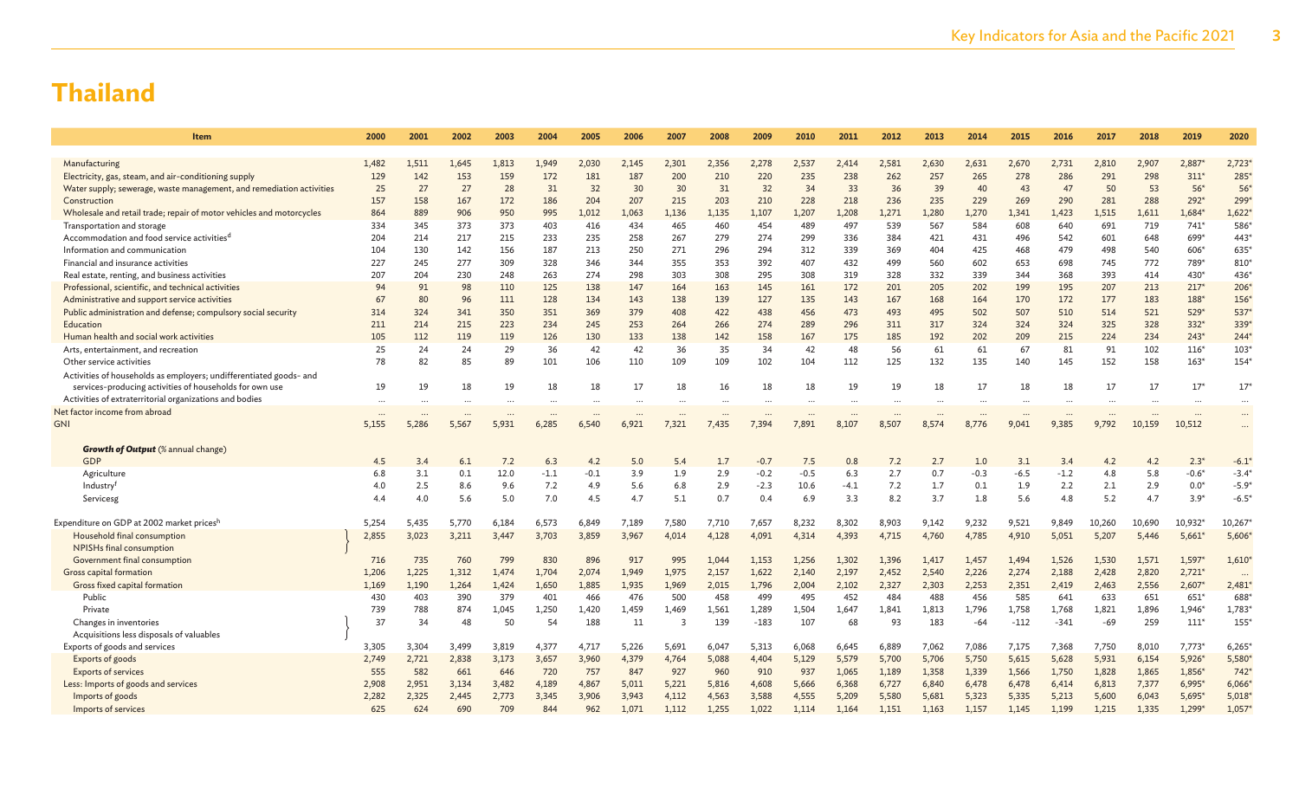| Item                                                                 | 2000  | 2001     | 2002  | 2003     | 2004     | 2005   | 2006     | 2007           | 2008  | 2009   | 2010   | 2011   | 2012     | 2013  | 2014   | 2015   | 2016   | 2017                 | 2018   | 2019     | 2020             |
|----------------------------------------------------------------------|-------|----------|-------|----------|----------|--------|----------|----------------|-------|--------|--------|--------|----------|-------|--------|--------|--------|----------------------|--------|----------|------------------|
|                                                                      |       |          |       |          |          |        |          |                |       |        |        |        |          |       |        |        |        |                      |        |          |                  |
| Manufacturing                                                        | 1.482 | 1.511    | 1.645 | 1,813    | 1.949    | 2,030  | 2.145    | 2.301          | 2,356 | 2,278  | 2,537  | 2.414  | 2,581    | 2,630 | 2,631  | 2,670  | 2,731  | 2,810                | 2,907  | 2.887*   | 2,723'           |
| Electricity, gas, steam, and air-conditioning supply                 | 129   | 142      | 153   | 159      | 172      | 181    | 187      | 200            | 210   | 220    | 235    | 238    | 262      | 257   | 265    | 278    | 286    | 291                  | 298    | $311*$   | 285              |
| Water supply; sewerage, waste management, and remediation activities | 25    | 27       | 27    | 28       | 31       | 32     | 30       | 30             | 31    | 32     | 34     | 33     | 36       | 39    | 40     | 43     | 47     | 50                   | 53     | $56*$    | 56'              |
| Construction                                                         | 157   | 158      | 167   | 172      | 186      | 204    | 207      | 215            | 203   | 210    | 228    | 218    | 236      | 235   | 229    | 269    | 290    | 281                  | 288    | $292*$   | 299 <sup>°</sup> |
| Wholesale and retail trade; repair of motor vehicles and motorcycles | 864   | 889      | 906   | 950      | 995      | 1,012  | 1,063    | 1,136          | 1,135 | 1,107  | 1,207  | 1,208  | 1,271    | 1,280 | 1,270  | 1,341  | 1,423  | 1,515                | 1,611  | 1,684*   | $1,622*$         |
| Transportation and storage                                           | 334   | 345      | 373   | 373      | 403      | 416    | 434      | 465            | 460   | 454    | 489    | 497    | 539      | 567   | 584    | 608    | 640    | 691                  | 719    | $741*$   | 586*             |
| Accommodation and food service activities <sup>d</sup>               | 204   | 214      | 217   | 215      | 233      | 235    | 258      | 267            | 279   | 274    | 299    | 336    | 384      | 421   | 431    | 496    | 542    | 601                  | 648    | 699*     | 443*             |
| Information and communication                                        | 104   | 130      | 142   | 156      | 187      | 213    | 250      | 271            | 296   | 294    | 312    | 339    | 369      | 404   | 425    | 468    | 479    | 498                  | 540    | 606*     | 635*             |
| Financial and insurance activities                                   | 227   | 245      | 277   | 309      | 328      | 346    | 344      | 355            | 353   | 392    | 407    | 432    | 499      | 560   | 602    | 653    | 698    | 745                  | 772    | 789*     | 810*             |
| Real estate, renting, and business activities                        | 207   | 204      | 230   | 248      | 263      | 274    | 298      | 303            | 308   | 295    | 308    | 319    | 328      | 332   | 339    | 344    | 368    | 393                  | 414    | 430*     | 436*             |
| Professional, scientific, and technical activities                   | 94    | 91       | 98    | 110      | 125      | 138    | 147      | 164            | 163   | 145    | 161    | 172    | 201      | 205   | 202    | 199    | 195    | 207                  | 213    | $217*$   | 206*             |
| Administrative and support service activities                        | 67    | 80       | 96    | 111      | 128      | 134    | 143      | 138            | 139   | 127    | 135    | 143    | 167      | 168   | 164    | 170    | 172    | 177                  | 183    | 188*     | 156*             |
| Public administration and defense; compulsory social security        | 314   | 324      | 341   | 350      | 351      | 369    | 379      | 408            | 422   | 438    | 456    | 473    | 493      | 495   | 502    | 507    | 510    | 514                  | 521    | 529*     | 537*             |
| Education                                                            | 211   | 214      | 215   | 223      | 234      | 245    | 253      | 264            | 266   | 274    | 289    | 296    | 311      | 317   | 324    | 324    | 324    | 325                  | 328    | $332*$   | 339*             |
| Human health and social work activities                              | 105   | 112      | 119   | 119      | 126      | 130    | 133      | 138            | 142   | 158    | 167    | 175    | 185      | 192   | 202    | 209    | 215    | 224                  | 234    | $243*$   | $244*$           |
| Arts, entertainment, and recreation                                  | 25    | 24       | 24    | 29       | 36       | 42     | 42       | 36             | 35    | 34     | 42     | 48     | 56       | 61    | 61     | 67     | 81     | 91                   | 102    | $116*$   | $103*$           |
| Other service activities                                             | 78    | 82       | 85    | 89       | 101      | 106    | 110      | 109            | 109   | 102    | 104    | 112    | 125      | 132   | 135    | 140    | 145    | 152                  | 158    | $163*$   | $154*$           |
| Activities of households as employers; undifferentiated goods- and   |       |          |       |          |          |        |          |                |       |        |        |        |          |       |        |        |        |                      |        |          |                  |
| services-producing activities of households for own use              | 19    | 19       | 18    | 19       | 18       | 18     | 17       | 18             | 16    | 18     | 18     | 19     | 19       | 18    | 17     | 18     | 18     | 17                   | 17     | $17*$    | $17*$            |
| Activities of extraterritorial organizations and bodies              |       | $\cdots$ |       | $\cdots$ | $\cdots$ |        | $\cdots$ |                |       |        |        |        | $\cdots$ |       |        |        |        | $\ddot{\phantom{a}}$ |        |          | $\cdots$         |
| Net factor income from abroad                                        |       |          |       |          |          |        |          |                |       |        |        |        |          |       |        |        |        |                      |        |          | $\cdots$         |
| GNI                                                                  | 5,155 | 5,286    | 5,567 | 5,931    | 6,285    | 6,540  | 6,921    | 7,321          | 7,435 | 7,394  | 7,891  | 8,107  | 8,507    | 8,574 | 8,776  | 9,041  | 9,385  | 9,792                | 10,159 | 10,512   |                  |
|                                                                      |       |          |       |          |          |        |          |                |       |        |        |        |          |       |        |        |        |                      |        |          |                  |
| <b>Growth of Output</b> (% annual change)                            |       |          |       |          |          |        |          |                |       |        |        |        |          |       |        |        |        |                      |        |          |                  |
| GDP                                                                  | 4.5   | 3.4      | 6.1   | 7.2      | 6.3      | 4.2    | 5.0      | 5.4            | 1.7   | $-0.7$ | 7.5    | 0.8    | 7.2      | 2.7   | 1.0    | 3.1    | 3.4    | 4.2                  | 4.2    | $2.3*$   | $-6.1*$          |
| Agriculture                                                          | 6.8   | 3.1      | 0.1   | 12.0     | $-1.1$   | $-0.1$ | 3.9      | 1.9            | 2.9   | $-0.2$ | $-0.5$ | 6.3    | 2.7      | 0.7   | $-0.3$ | $-6.5$ | $-1.2$ | 4.8                  | 5.8    | $-0.6*$  | $-3.4*$          |
| Industry <sup>f</sup>                                                | 4.0   | 2.5      | 8.6   | 9.6      | 7.2      | 4.9    | 5.6      | 6.8            | 2.9   | -2.3   | 10.6   | $-4.1$ | 7.2      | 1.7   | 0.1    | 1.9    | 2.2    | 2.1                  | 2.9    | $0.0*$   | $-5.9*$          |
| Servicesg                                                            | 4.4   | 4.0      | 5.6   | 5.0      | 7.0      | 4.5    | 4.7      | 5.1            | 0.7   | 0.4    | 6.9    | 3.3    | 8.2      | 3.7   | 1.8    | 5.6    | 4.8    | 5.2                  | 4.7    | $3.9*$   | $-6.5$           |
|                                                                      |       |          |       |          |          |        |          |                |       |        |        |        |          |       |        |        |        |                      |        |          |                  |
| Expenditure on GDP at 2002 market prices <sup>h</sup>                | 5,254 | 5,435    | 5,770 | 6,184    | 6,573    | 6,849  | 7,189    | 7,580          | 7,710 | 7,657  | 8,232  | 8,302  | 8,903    | 9,142 | 9,232  | 9,521  | 9,849  | 10,260               | 10,690 | 10,932*  | 10,267           |
| Household final consumption                                          | 2,855 | 3,023    | 3,211 | 3,447    | 3,703    | 3,859  | 3,967    | 4,014          | 4,128 | 4,091  | 4,314  | 4,393  | 4,715    | 4,760 | 4,785  | 4,910  | 5,051  | 5,207                | 5,446  | $5,661*$ | 5,606            |
| NPISHs final consumption                                             |       |          |       |          |          |        |          |                |       |        |        |        |          |       |        |        |        |                      |        |          |                  |
| Government final consumption                                         | 716   | 735      | 760   | 799      | 830      | 896    | 917      | 995            | 1,044 | 1,153  | 1,256  | 1,302  | 1,396    | 1,417 | 1,457  | 1,494  | 1,526  | 1,530                | 1,571  | $1,597*$ | $1,610*$         |
| Gross capital formation                                              | 1,206 | 1,225    | 1,312 | 1,474    | 1,704    | 2,074  | 1,949    | 1,975          | 2,157 | 1,622  | 2,140  | 2,197  | 2,452    | 2,540 | 2,226  | 2,274  | 2,188  | 2,428                | 2,820  | $2,721*$ |                  |
| Gross fixed capital formation                                        | 1,169 | 1,190    | 1,264 | 1,424    | 1,650    | 1,885  | 1,935    | 1,969          | 2,015 | 1,796  | 2,004  | 2,102  | 2,327    | 2,303 | 2,253  | 2,351  | 2,419  | 2,463                | 2,556  | $2,607*$ | $2,481*$         |
| Public                                                               | 430   | 403      | 390   | 379      | 401      | 466    | 476      | 500            | 458   | 499    | 495    | 452    | 484      | 488   | 456    | 585    | 641    | 633                  | 651    | 651*     | 688*             |
| Private                                                              | 739   | 788      | 874   | 1,045    | 1,250    | 1,420  | 1,459    | 1,469          | 1,561 | 1,289  | 1,504  | 1,647  | 1,841    | 1,813 | 1,796  | 1,758  | 1,768  | 1,821                | 1,896  | 1,946*   | 1,783*           |
| Changes in inventories                                               | 37    | 34       | 48    | 50       | 54       | 188    | 11       | $\overline{z}$ | 139   | $-183$ | 107    | 68     | 93       | 183   | $-64$  | $-112$ | $-341$ | $-69$                | 259    | $111*$   | $155*$           |
| Acquisitions less disposals of valuables                             |       |          |       |          |          |        |          |                |       |        |        |        |          |       |        |        |        |                      |        |          |                  |
| Exports of goods and services                                        | 3,305 | 3,304    | 3,499 | 3,819    | 4,377    | 4,717  | 5,226    | 5,691          | 6,047 | 5,313  | 6,068  | 6,645  | 6,889    | 7,062 | 7,086  | 7,175  | 7,368  | 7,750                | 8,010  | $7,773*$ | 6,265            |
| Exports of goods                                                     | 2,749 | 2,721    | 2,838 | 3,173    | 3,657    | 3,960  | 4,379    | 4,764          | 5,088 | 4,404  | 5,129  | 5,579  | 5,700    | 5,706 | 5,750  | 5,615  | 5,628  | 5,931                | 6,154  | $5,926*$ | 5,580*           |
| <b>Exports of services</b>                                           | 555   | 582      | 661   | 646      | 720      | 757    | 847      | 927            | 960   | 910    | 937    | 1,065  | 1,189    | 1,358 | 1,339  | 1,566  | 1,750  | 1,828                | 1,865  | 1,856*   | 742              |
| Less: Imports of goods and services                                  | 2,908 | 2,951    | 3,134 | 3,482    | 4,189    | 4,867  | 5,011    | 5,221          | 5,816 | 4,608  | 5,666  | 6,368  | 6,727    | 6,840 | 6,478  | 6,478  | 6,414  | 6,813                | 7,377  | $6,995*$ | 6,066            |
| Imports of goods                                                     | 2,282 | 2,325    | 2,445 | 2,773    | 3,345    | 3,906  | 3,943    | 4,112          | 4,563 | 3,588  | 4,555  | 5,209  | 5,580    | 5,681 | 5,323  | 5,335  | 5,213  | 5,600                | 6,043  | $5,695*$ | 5,018            |
| Imports of services                                                  | 625   | 624      | 690   | 709      | 844      | 962    | 1.071    | 1,112          | 1,255 | 1.022  | 1.114  | 1,164  | 1.151    | 1,163 | 1,157  | 1.145  | 1,199  | 1,215                | 1,335  | $1,299*$ | 1,057            |
|                                                                      |       |          |       |          |          |        |          |                |       |        |        |        |          |       |        |        |        |                      |        |          |                  |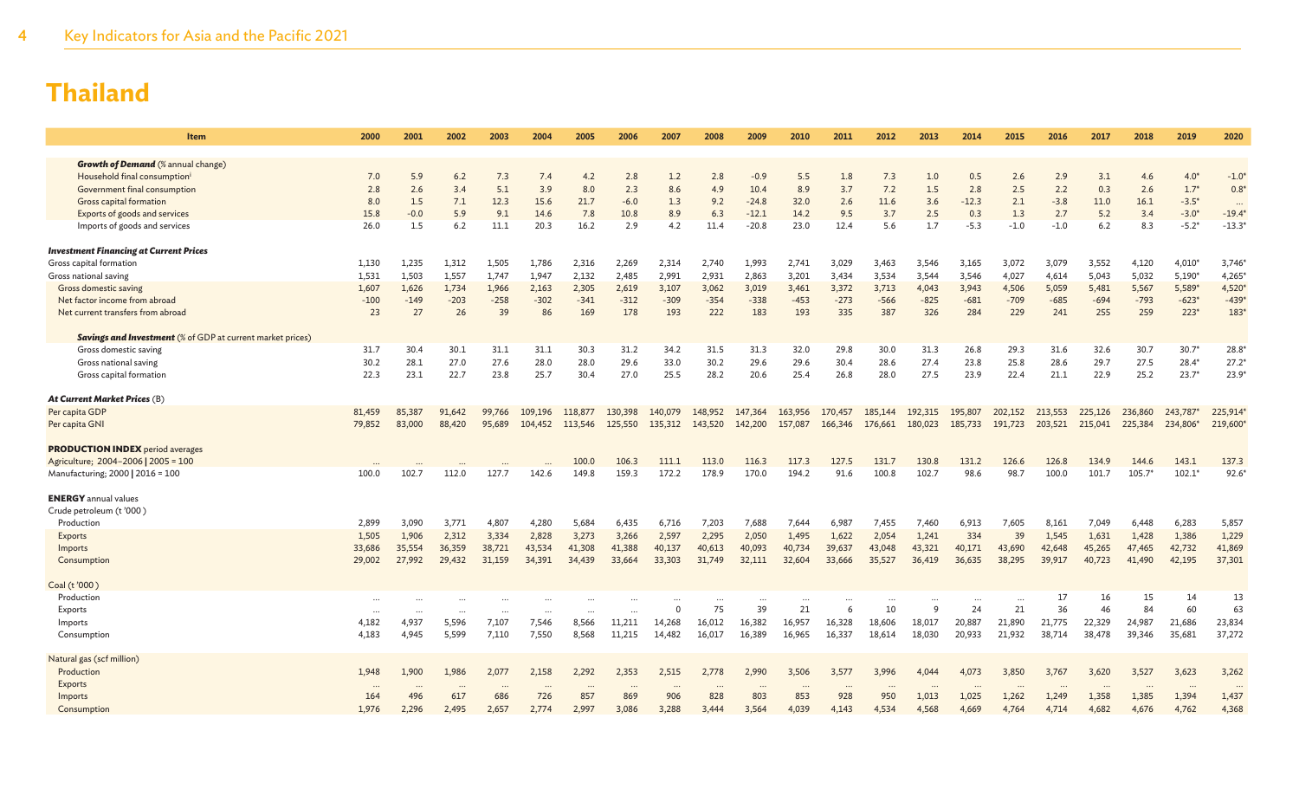| <b>Item</b>                                                                                | 2000       | 2001       | 2002       | 2003        | 2004        | 2005        | 2006          | 2007       | 2008       | 2009            | 2010        | 2011       | 2012        | 2013       | 2014           | 2015       | 2016          | 2017        | 2018        | 2019              | 2020                 |
|--------------------------------------------------------------------------------------------|------------|------------|------------|-------------|-------------|-------------|---------------|------------|------------|-----------------|-------------|------------|-------------|------------|----------------|------------|---------------|-------------|-------------|-------------------|----------------------|
|                                                                                            |            |            |            |             |             |             |               |            |            |                 |             |            |             |            |                |            |               |             |             |                   |                      |
| <b>Growth of Demand</b> (% annual change)                                                  |            |            |            |             |             |             |               |            |            |                 |             |            |             |            |                |            |               |             |             |                   |                      |
| Household final consumption <sup>i</sup>                                                   | 7.0        | 5.9        | 6.2        | 7.3         | 7.4         | 4.2         | 2.8           | 1.2        | 2.8        | $-0.9$          | 5.5         | 1.8        | 7.3         | 1.0        | 0.5            | 2.6        | 2.9           | 3.1         | 4.6         | $4.0*$            | $-1.0*$              |
| Government final consumption<br>Gross capital formation                                    | 2.8<br>8.0 | 2.6<br>1.5 | 3.4<br>7.1 | 5.1<br>12.3 | 3.9<br>15.6 | 8.0<br>21.7 | 2.3<br>$-6.0$ | 8.6<br>1.3 | 4.9<br>9.2 | 10.4<br>$-24.8$ | 8.9<br>32.0 | 3.7<br>2.6 | 7.2<br>11.6 | 1.5<br>3.6 | 2.8<br>$-12.3$ | 2.5<br>2.1 | 2.2<br>$-3.8$ | 0.3<br>11.0 | 2.6<br>16.1 | $1.7*$<br>$-3.5*$ | 0.8                  |
| Exports of goods and services                                                              | 15.8       | $-0.0$     | 5.9        | 9.1         | 14.6        | 7.8         | 10.8          | 8.9        | 6.3        | $-12.1$         | 14.2        | 9.5        | 3.7         | 2.5        | 0.3            | 1.3        | 2.7           | 5.2         | 3.4         | $-3.0*$           | $\ddots$<br>$-19.4*$ |
| Imports of goods and services                                                              | 26.0       | 1.5        | 6.2        | 11.1        | 20.3        | 16.2        | 2.9           | 4.2        | 11.4       | $-20.8$         | 23.0        | 12.4       | 5.6         | 1.7        | -5.3           | $-1.0$     | $-1.0$        | 6.2         | 8.3         | $-5.2*$           | $-13.3*$             |
|                                                                                            |            |            |            |             |             |             |               |            |            |                 |             |            |             |            |                |            |               |             |             |                   |                      |
| <b>Investment Financing at Current Prices</b>                                              |            |            |            |             |             |             |               |            |            |                 |             |            |             |            |                |            |               |             |             |                   |                      |
| Gross capital formation                                                                    | 1,130      | 1.235      | 1,312      | 1,505       | 1.786       | 2,316       | 2,269         | 2,314      | 2,740      | 1,993           | 2.741       | 3,029      | 3,463       | 3.546      | 3,165          | 3,072      | 3.079         | 3,552       | 4,120       | 4.010             | 3,746                |
| Gross national saving                                                                      | 1,531      | 1,503      | 1,557      | 1,747       | 1,947       | 2,132       | 2,485         | 2,991      | 2,931      | 2,863           | 3,201       | 3,434      | 3,534       | 3,544      | 3,546          | 4,027      | 4,614         | 5,043       | 5,032       | 5,190             | 4,265                |
| Gross domestic saving                                                                      | 1,607      | 1,626      | 1,734      | 1,966       | 2,163       | 2,305       | 2,619         | 3,107      | 3,062      | 3,019           | 3,461       | 3,372      | 3,713       | 4,043      | 3,943          | 4,506      | 5,059         | 5,481       | 5,567       | 5,589*            | 4,520                |
| Net factor income from abroad                                                              | $-100$     | $-149$     | $-203$     | $-258$      | $-302$      | $-341$      | $-312$        | $-309$     | $-354$     | $-338$          | $-453$      | $-273$     | $-566$      | $-825$     | $-681$         | $-709$     | $-685$        | $-694$      | $-793$      | $-623*$           | $-439*$              |
| Net current transfers from abroad                                                          | 23         | 27         | 26         | 39          | 86          | 169         | 178           | 193        | 222        | 183             | 193         | 335        | 387         | 326        | 284            | 229        | 241           | 255         | 259         | $223*$            | $183*$               |
|                                                                                            |            |            |            |             |             |             |               |            |            |                 |             |            |             |            |                |            |               |             |             |                   |                      |
| <b>Savings and Investment</b> (% of GDP at current market prices)<br>Gross domestic saving | 31.7       | 30.4       | 30.1       | 31.1        | 31.1        | 30.3        | 31.2          | 34.2       | 31.5       | 31.3            | 32.0        | 29.8       | 30.0        | 31.3       | 26.8           | 29.3       | 31.6          | 32.6        | 30.7        | $30.7*$           | 28.8                 |
| Gross national saving                                                                      | 30.2       | 28.1       | 27.0       | 27.6        | 28.0        | 28.0        | 29.6          | 33.0       | 30.2       | 29.6            | 29.6        | 30.4       | 28.6        | 27.4       | 23.8           | 25.8       | 28.6          | 29.7        | 27.5        | $28.4*$           | $27.2*$              |
| Gross capital formation                                                                    | 22.3       | 23.1       | 22.7       | 23.8        | 25.7        | 30.4        | 27.0          | 25.5       | 28.2       | 20.6            | 25.4        | 26.8       | 28.0        | 27.5       | 23.9           | 22.4       | 21.1          | 22.9        | 25.2        | $23.7*$           | $23.9*$              |
|                                                                                            |            |            |            |             |             |             |               |            |            |                 |             |            |             |            |                |            |               |             |             |                   |                      |
| <b>At Current Market Prices (B)</b>                                                        |            |            |            |             |             |             |               |            |            |                 |             |            |             |            |                |            |               |             |             |                   |                      |
| Per capita GDP                                                                             | 81,459     | 85,387     | 91.642     | 99,766      | 109,196     | 118,877     | 130,398       | 140,079    | 148,952    | 147,364         | 163,956     | 170,457    | 185,144     | 192,315    | 195,807        | 202,152    | 213,553       | 225,126     | 236,860     | 243,787*          | 225,914              |
| Per capita GNI                                                                             | 79,852     | 83,000     | 88,420     | 95,689      | 104,452     | 113,546     | 125,550       | 135,312    | 143,520    | 142,200         | 157,087     | 166,346    | 176,661     | 180,023    | 185,733        | 191,723    | 203,521       | 215,041     | 225,384     | 234,806*          | 219,600              |
|                                                                                            |            |            |            |             |             |             |               |            |            |                 |             |            |             |            |                |            |               |             |             |                   |                      |
| <b>PRODUCTION INDEX</b> period averages                                                    |            |            |            |             |             |             |               |            |            |                 |             |            |             |            |                |            |               |             |             |                   |                      |
| Agriculture; 2004-2006   2005 = 100                                                        |            |            |            |             |             | 100.0       | 106.3         | 111.1      | 113.0      | 116.3           | 117.3       | 127.5      | 131.7       | 130.8      | 131.2          | 126.6      | 126.8         | 134.9       | 144.6       | 143.1             | 137.3                |
| Manufacturing; 2000   2016 = 100                                                           | 100.0      | 102.7      | 112.0      | 127.7       | 142.6       | 149.8       | 159.3         | 172.2      | 178.9      | 170.0           | 194.2       | 91.6       | 100.8       | 102.7      | 98.6           | 98.7       | 100.0         | 101.7       | $105.7*$    | $102.1*$          | 92.6                 |
| <b>ENERGY</b> annual values                                                                |            |            |            |             |             |             |               |            |            |                 |             |            |             |            |                |            |               |             |             |                   |                      |
| Crude petroleum (t'000)                                                                    |            |            |            |             |             |             |               |            |            |                 |             |            |             |            |                |            |               |             |             |                   |                      |
| Production                                                                                 | 2,899      | 3,090      | 3,771      | 4,807       | 4,280       | 5,684       | 6,435         | 6,716      | 7,203      | 7,688           | 7,644       | 6,987      | 7,455       | 7,460      | 6,913          | 7,605      | 8,161         | 7,049       | 6,448       | 6,283             | 5,857                |
| Exports                                                                                    | 1,505      | 1,906      | 2,312      | 3,334       | 2,828       | 3,273       | 3,266         | 2,597      | 2,295      | 2,050           | 1,495       | 1,622      | 2,054       | 1,241      | 334            | 39         | 1,545         | 1,631       | 1,428       | 1,386             | 1,229                |
| Imports                                                                                    | 33,686     | 35,554     | 36,359     | 38,721      | 43,534      | 41,308      | 41,388        | 40,137     | 40,613     | 40,093          | 40,734      | 39,637     | 43,048      | 43,321     | 40,171         | 43,690     | 42,648        | 45,265      | 47,465      | 42,732            | 41,869               |
| Consumption                                                                                | 29,002     | 27,992     | 29,432     | 31,159      | 34,391      | 34,439      | 33,664        | 33,303     | 31,749     | 32,111          | 32,604      | 33,666     | 35,527      | 36,419     | 36,635         | 38,295     | 39,917        | 40.723      | 41,490      | 42,195            | 37,301               |
|                                                                                            |            |            |            |             |             |             |               |            |            |                 |             |            |             |            |                |            |               |             |             |                   |                      |
| Coal (t'000)                                                                               |            |            |            |             |             |             |               |            |            |                 |             |            |             |            |                |            |               |             |             |                   |                      |
| Production                                                                                 |            |            |            |             |             |             |               |            |            |                 |             |            |             |            |                | $\ddotsc$  | 17            | 16          | 15          | 14                | 13                   |
| Exports                                                                                    |            |            |            | $\cdots$    |             |             |               | $\Omega$   | 75         | 39              | 21          | 6          | 10          | Q          | 24             | 21         | 36            | 46          | 84          | 60                | 63                   |
| Imports                                                                                    | 4,182      | 4,937      | 5,596      | 7,107       | 7,546       | 8,566       | 11,211        | 14,268     | 16,012     | 16,382          | 16,957      | 16,328     | 18,606      | 18,017     | 20,887         | 21,890     | 21,775        | 22,329      | 24,987      | 21,686            | 23,834               |
| Consumption                                                                                | 4,183      | 4,945      | 5,599      | 7,110       | 7,550       | 8,568       | 11,215        | 14,482     | 16,017     | 16,389          | 16,965      | 16,337     | 18,614      | 18,030     | 20,933         | 21,932     | 38,714        | 38,478      | 39,346      | 35,681            | 37,272               |
| Natural gas (scf million)                                                                  |            |            |            |             |             |             |               |            |            |                 |             |            |             |            |                |            |               |             |             |                   |                      |
| Production                                                                                 | 1,948      | 1,900      | 1,986      | 2,077       | 2,158       | 2,292       | 2,353         | 2,515      | 2,778      | 2,990           | 3,506       | 3,577      | 3,996       | 4,044      | 4,073          | 3,850      | 3,767         | 3,620       | 3,527       | 3,623             | 3,262                |
| <b>Exports</b>                                                                             |            |            |            | $\cdots$    |             |             |               |            |            | $\cdots$        |             |            |             |            |                |            |               |             |             |                   | $\ddotsc$            |
| Imports                                                                                    | 164        | 496        | 617        | 686         | 726         | 857         | 869           | 906        | 828        | 803             | 853         | 928        | 950         | 1,013      | 1,025          | 1,262      | 1,249         | 1,358       | 1,385       | 1,394             | 1,437                |
| Consumption                                                                                | 1,976      | 2,296      | 2,495      | 2,657       | 2,774       | 2,997       | 3,086         | 3,288      | 3,444      | 3,564           | 4,039       | 4,143      | 4,534       | 4,568      | 4,669          | 4,764      | 4,714         | 4,682       | 4,676       | 4,762             | 4,368                |
|                                                                                            |            |            |            |             |             |             |               |            |            |                 |             |            |             |            |                |            |               |             |             |                   |                      |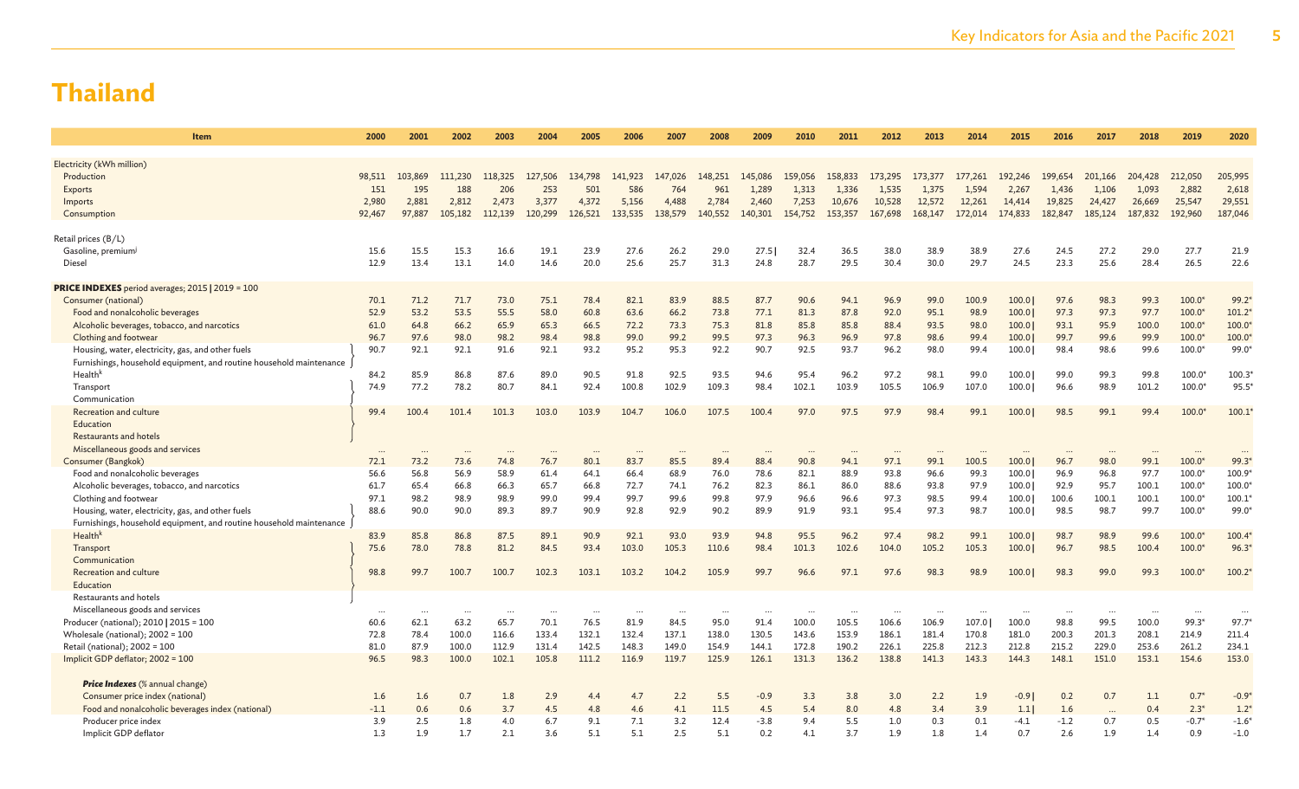| <b>Item</b>                                                         | 2000             | 2001     | 2002    | 2003     | 2004     | 2005    | 2006     | 2007      | 2008    | 2009             | 2010    | 2011    | 2012              | 2013    | 2014    | 2015    | 2016    | 2017    | 2018     | 2019     | 2020                 |
|---------------------------------------------------------------------|------------------|----------|---------|----------|----------|---------|----------|-----------|---------|------------------|---------|---------|-------------------|---------|---------|---------|---------|---------|----------|----------|----------------------|
|                                                                     |                  |          |         |          |          |         |          |           |         |                  |         |         |                   |         |         |         |         |         |          |          |                      |
| Electricity (kWh million)                                           |                  |          |         |          |          |         |          |           |         |                  |         |         |                   |         |         |         |         |         |          |          |                      |
| Production                                                          | 98.511           | 103,869  | 111,230 | 118,325  | 127,506  | 134,798 | 141,923  | 147,026   | 148,251 | 145,086          | 159,056 | 158,833 | 173,295           | 173,377 | 177,261 | 192,246 | 199,654 | 201,166 | 204,428  | 212,050  | 205,995              |
| Exports                                                             | 151              | 195      | 188     | 206      | 253      | 501     | 586      | 764       | 961     | 1,289            | 1,313   | 1,336   | 1,535             | 1,375   | 1,594   | 2,267   | 1,436   | 1,106   | 1,093    | 2,882    | 2,618                |
| Imports                                                             | 2,980            | 2,881    | 2,812   | 2,473    | 3,377    | 4,372   | 5,156    | 4,488     | 2,784   | 2,460            | 7,253   | 10,676  | 10,528            | 12.572  | 12,261  | 14,414  | 19,825  | 24,427  | 26,669   | 25,547   | 29,551               |
| Consumption                                                         | 92,467           | 97,887   | 105,182 | 112,139  | 120,299  | 126,521 | 133,535  | 138,579   | 140,552 | 140,301          | 154,752 | 153,357 | 167,698           | 168,147 | 172,014 | 174,833 | 182,847 | 185,124 | 187,832  | 192,960  | 187,046              |
|                                                                     |                  |          |         |          |          |         |          |           |         |                  |         |         |                   |         |         |         |         |         |          |          |                      |
| Retail prices (B/L)                                                 |                  |          |         |          |          |         |          |           |         |                  |         |         |                   |         |         |         |         |         |          |          |                      |
| Gasoline, premium <sup>j</sup>                                      | 15.6             | 15.5     | 15.3    | 16.6     | 19.1     | 23.9    | 27.6     | 26.2      | 29.0    | 27.5             | 32.4    | 36.5    | 38.0              | 38.9    | 38.9    | 27.6    | 24.5    | 27.2    | 29.0     | 27.7     | 21.9                 |
| Diesel                                                              | 12.9             | 13.4     | 13.1    | 14.0     | 14.6     | 20.0    | 25.6     | 25.7      | 31.3    | 24.8             | 28.7    | 29.5    | 30.4              | 30.0    | 29.7    | 24.5    | 23.3    | 25.6    | 28.4     | 26.5     | 22.6                 |
|                                                                     |                  |          |         |          |          |         |          |           |         |                  |         |         |                   |         |         |         |         |         |          |          |                      |
| <b>PRICE INDEXES</b> period averages; 2015   2019 = 100             |                  |          |         |          |          |         |          |           |         |                  |         |         |                   |         |         |         |         |         |          |          |                      |
| Consumer (national)                                                 | 70.1             | 71.2     | 71.7    | 73.0     | 75.1     | 78.4    | 82.1     | 83.9      | 88.5    | 87.7             | 90.6    | 94.1    | 96.9              | 99.0    | 100.9   | 100.0   | 97.6    | 98.3    | 99.3     | $100.0*$ | $99.2*$              |
| Food and nonalcoholic beverages                                     | 52.9             | 53.2     | 53.5    | 55.5     | 58.0     | 60.8    | 63.6     | 66.2      | 73.8    | 77.1             | 81.3    | 87.8    | 92.0              | 95.1    | 98.9    | 100.0   | 97.3    | 97.3    | 97.7     | $100.0*$ | 101.2                |
| Alcoholic beverages, tobacco, and narcotics                         | 61.0             | 64.8     | 66.2    | 65.9     | 65.3     | 66.5    | 72.2     | 73.3      | 75.3    | 81.8             | 85.8    | 85.8    | 88.4              | 93.5    | 98.0    | 100.0   | 93.1    | 95.9    | 100.0    | $100.0*$ | $100.0*$             |
| Clothing and footwear                                               | 96.7             | 97.6     | 98.0    | 98.2     | 98.4     | 98.8    | 99.0     | 99.2      | 99.5    | 97.3             | 96.3    | 96.9    | 97.8              | 98.6    | 99.4    | 100.0   | 99.7    | 99.6    | 99.9     | $100.0*$ | $100.0*$             |
| Housing, water, electricity, gas, and other fuels                   | 90.7             | 92.1     | 92.1    | 91.6     | 92.1     | 93.2    | 95.2     | 95.3      | 92.2    | 90.7             | 92.5    | 93.7    | 96.2              | 98.0    | 99.4    | 100.0   | 98.4    | 98.6    | 99.6     | $100.0*$ | $99.0*$              |
| Furnishings, household equipment, and routine household maintenance |                  |          |         |          |          |         |          |           |         |                  |         |         |                   |         |         |         |         |         |          |          |                      |
| Health <sup>k</sup>                                                 | 84.2             | 85.9     | 86.8    | 87.6     | 89.0     | 90.5    | 91.8     | 92.5      | 93.5    | 94.6             | 95.4    | 96.2    | 97.2              | 98.1    | 99.0    | 100.0   | 99.0    | 99.3    | 99.8     | $100.0*$ | 100.3                |
| Transport                                                           | 74.9             | 77.2     | 78.2    | 80.7     | 84.1     | 92.4    | 100.8    | 102.9     | 109.3   | 98.4             | 102.1   | 103.9   | 105.5             | 106.9   | 107.0   | 100.0   | 96.6    | 98.9    | 101.2    | $100.0*$ | 95.5*                |
| Communication                                                       | 99.4             |          | 101.4   |          |          |         |          |           |         |                  |         |         |                   |         |         |         |         |         |          |          | $100.1*$             |
| Recreation and culture<br>Education                                 |                  | 100.4    |         | 101.3    | 103.0    | 103.9   | 104.7    | 106.0     | 107.5   | 100.4            | 97.0    | 97.5    | 97.9              | 98.4    | 99.1    | 100.0   | 98.5    | 99.1    | 99.4     | $100.0*$ |                      |
| Restaurants and hotels                                              |                  |          |         |          |          |         |          |           |         |                  |         |         |                   |         |         |         |         |         |          |          |                      |
| Miscellaneous goods and services                                    |                  |          |         |          |          |         |          |           |         |                  |         |         |                   |         |         |         |         |         |          |          |                      |
| Consumer (Bangkok)                                                  | $\cdots$<br>72.1 | 73.2     | 73.6    | <br>74.8 | 76.7     | 80.1    | 83.7     | 85.5      | 89.4    | $\cdots$<br>88.4 | 90.8    | 94.1    | $\ddotsc$<br>97.1 | 99.1    | 100.5   | 100.0   | 96.7    | 98.0    | 99.1     | $100.0*$ | $\ddotsc$<br>$99.3*$ |
| Food and nonalcoholic beverages                                     | 56.6             | 56.8     | 56.9    | 58.9     | 61.4     | 64.1    | 66.4     | 68.9      | 76.0    | 78.6             | 82.1    | 88.9    | 93.8              | 96.6    | 99.3    | 100.0   | 96.9    | 96.8    | 97.7     | $100.0*$ | $100.9*$             |
| Alcoholic beverages, tobacco, and narcotics                         | 61.7             | 65.4     | 66.8    | 66.3     | 65.7     | 66.8    | 72.7     | 74.1      | 76.2    | 82.3             | 86.1    | 86.0    | 88.6              | 93.8    | 97.9    | 100.0   | 92.9    | 95.7    | 100.1    | $100.0*$ | $100.0*$             |
| Clothing and footwear                                               | 97.1             | 98.2     | 98.9    | 98.9     | 99.0     | 99.4    | 99.7     | 99.6      | 99.8    | 97.9             | 96.6    | 96.6    | 97.3              | 98.5    | 99.4    | 100.0   | 100.6   | 100.1   | 100.1    | $100.0*$ | $100.1*$             |
| Housing, water, electricity, gas, and other fuels                   | 88.6             | 90.0     | 90.0    | 89.3     | 89.7     | 90.9    | 92.8     | 92.9      | 90.2    | 89.9             | 91.9    | 93.1    | 95.4              | 97.3    | 98.7    | 100.0   | 98.5    | 98.7    | 99.7     | $100.0*$ | 99.0*                |
| Furnishings, household equipment, and routine household maintenance |                  |          |         |          |          |         |          |           |         |                  |         |         |                   |         |         |         |         |         |          |          |                      |
| Health <sup>k</sup>                                                 | 83.9             | 85.8     | 86.8    | 87.5     | 89.1     | 90.9    | 92.1     | 93.0      | 93.9    | 94.8             | 95.5    | 96.2    | 97.4              | 98.2    | 99.1    | 100.0   | 98.7    | 98.9    | 99.6     | $100.0*$ | 100.4                |
| Transport                                                           | 75.6             | 78.0     | 78.8    | 81.2     | 84.5     | 93.4    | 103.0    | 105.3     | 110.6   | 98.4             | 101.3   | 102.6   | 104.0             | 105.2   | 105.3   | 100.0   | 96.7    | 98.5    | 100.4    | $100.0*$ | $96.3*$              |
| Communication                                                       |                  |          |         |          |          |         |          |           |         |                  |         |         |                   |         |         |         |         |         |          |          |                      |
| Recreation and culture                                              | 98.8             | 99.7     | 100.7   | 100.7    | 102.3    | 103.1   | 103.2    | 104.2     | 105.9   | 99.7             | 96.6    | 97.1    | 97.6              | 98.3    | 98.9    | 100.0   | 98.3    | 99.0    | 99.3     | $100.0*$ | 100.2                |
| Education                                                           |                  |          |         |          |          |         |          |           |         |                  |         |         |                   |         |         |         |         |         |          |          |                      |
| Restaurants and hotels                                              |                  |          |         |          |          |         |          |           |         |                  |         |         |                   |         |         |         |         |         |          |          |                      |
| Miscellaneous goods and services                                    |                  | $\cdots$ |         | $\cdots$ | $\cdots$ |         | $\cdots$ | $\ddotsc$ |         | $\cdots$         |         |         | $\cdots$          |         |         |         |         |         | $\cdots$ | $\cdots$ | $\ddotsc$            |
| Producer (national); 2010   2015 = 100                              | 60.6             | 62.1     | 63.2    | 65.7     | 70.1     | 76.5    | 81.9     | 84.5      | 95.0    | 91.4             | 100.0   | 105.5   | 106.6             | 106.9   | 107.0   | 100.0   | 98.8    | 99.5    | 100.0    | $99.3*$  | 97.7                 |
| Wholesale (national); $2002 = 100$                                  | 72.8             | 78.4     | 100.0   | 116.6    | 133.4    | 132.1   | 132.4    | 137.1     | 138.0   | 130.5            | 143.6   | 153.9   | 186.1             | 181.4   | 170.8   | 181.0   | 200.3   | 201.3   | 208.1    | 214.9    | 211.4                |
| Retail (national); 2002 = 100                                       | 81.0             | 87.9     | 100.0   | 112.9    | 131.4    | 142.5   | 148.3    | 149.0     | 154.9   | 144.1            | 172.8   | 190.2   | 226.1             | 225.8   | 212.3   | 212.8   | 215.2   | 229.0   | 253.6    | 261.2    | 234.1                |
| Implicit GDP deflator; 2002 = 100                                   | 96.5             | 98.3     | 100.0   | 102.1    | 105.8    | 111.2   | 116.9    | 119.7     | 125.9   | 126.1            | 131.3   | 136.2   | 138.8             | 141.3   | 143.3   | 144.3   | 148.1   | 151.0   | 153.1    | 154.6    | 153.0                |
|                                                                     |                  |          |         |          |          |         |          |           |         |                  |         |         |                   |         |         |         |         |         |          |          |                      |
| <b>Price Indexes</b> (% annual change)                              |                  |          |         |          |          |         |          |           |         |                  |         |         |                   |         |         |         |         |         |          |          |                      |
| Consumer price index (national)                                     | 1.6              | 1.6      | 0.7     | 1.8      | 2.9      | 4.4     | 4.7      | 2.2       | 5.5     | $-0.9$           | 3.3     | 3.8     | 3.0               | 2.2     | 1.9     | $-0.9$  | 0.2     | 0.7     | 1.1      | $0.7*$   | $-0.9*$              |
| Food and nonalcoholic beverages index (national)                    | $-1.1$           | 0.6      | 0.6     | 3.7      | 4.5      | 4.8     | 4.6      | 4.1       | 11.5    | 4.5              | 5.4     | 8.0     | 4.8               | 3.4     | 3.9     | 1.1     | 1.6     |         | 0.4      | $2.3*$   | $1.2*$               |
| Producer price index                                                | 3.9              | 2.5      | 1.8     | 4.0      | 6.7      | 9.1     | 7.1      | 3.2       | 12.4    | $-3.8$           | 9.4     | 5.5     | 1.0               | 0.3     | 0.1     | $-4.1$  | $-1.2$  | 0.7     | 0.5      | $-0.7*$  | $-1.6*$              |
| Implicit GDP deflator                                               | 1.3              | 1.9      | 1.7     | 2.1      | 3.6      | 5.1     | 5.1      | 2.5       | 5.1     | 0.2              | 4.1     | 3.7     | 1.9               | 1.8     | 1.4     | 0.7     | 2.6     | 1.9     | 1.4      | 0.9      | $-1.0$               |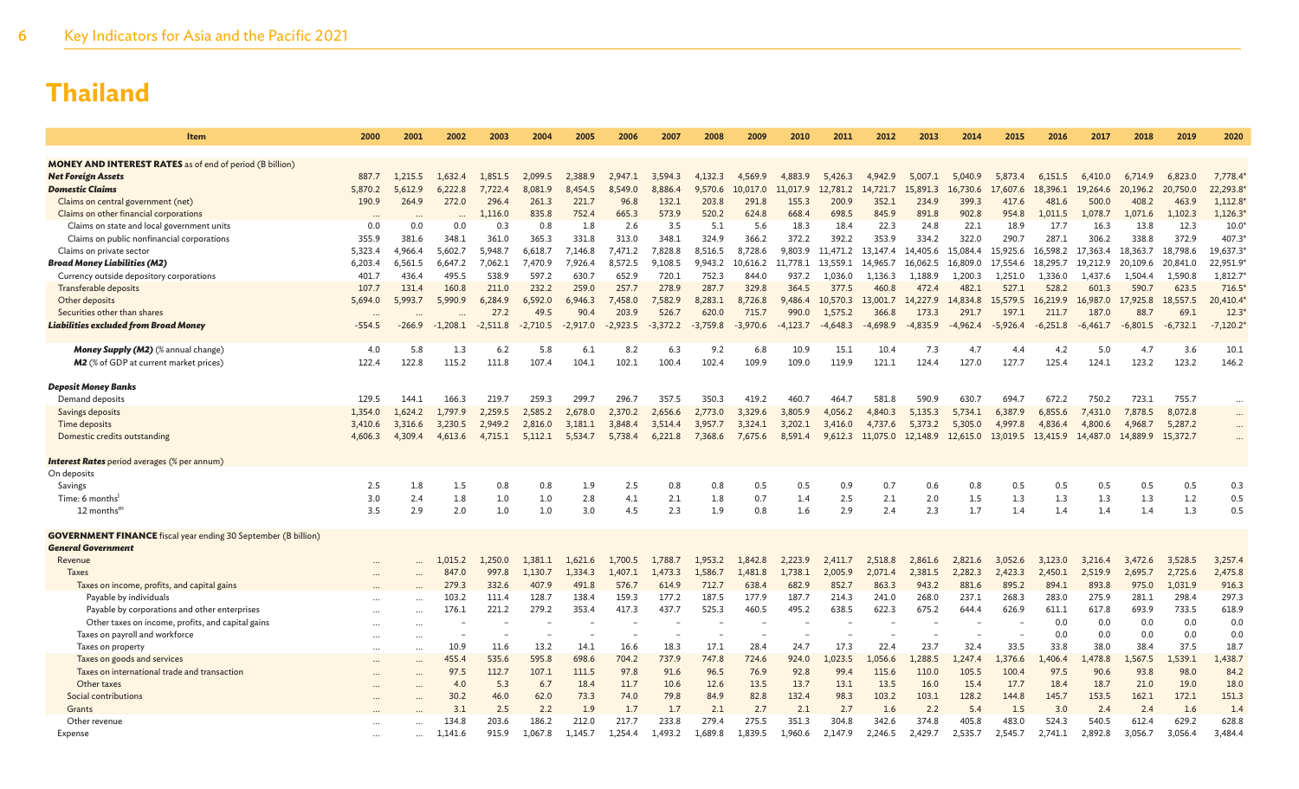| Item                                                                  | 2000      | 2001      | 2002       | 2003       | 2004       | 2005       | 2006       | 2007       | 2008       | 2009       | 2010       | 2011       | 2012       | 2013       | 2014       | 2015       | 2016       | 2017              | 2018       | 2019       | 2020           |
|-----------------------------------------------------------------------|-----------|-----------|------------|------------|------------|------------|------------|------------|------------|------------|------------|------------|------------|------------|------------|------------|------------|-------------------|------------|------------|----------------|
|                                                                       |           |           |            |            |            |            |            |            |            |            |            |            |            |            |            |            |            |                   |            |            |                |
| <b>MONEY AND INTEREST RATES</b> as of end of period (B billion)       |           |           |            |            |            |            |            |            |            |            |            |            |            |            |            |            |            |                   |            |            |                |
| <b>Net Foreign Assets</b>                                             | 887.7     | 1.215.5   | 1.632.4    | 1.851.5    | 2.099.5    | 2.388.9    | 2,947.1    | 3.594.3    | 4.132.3    | 4,569.9    | 4,883.9    | 5,426.3    | 4,942.9    | 5.007.1    | 5.040.9    | 5.873.4    | 6.151.5    | 6,410.0           | 6,714.9    | 6,823.0    | 7,778.4        |
| <b>Domestic Claims</b>                                                | 5.870.2   | 5.612.9   | 6.222.8    | 7.722.4    | 8.081.9    | 8,454.5    | 8,549.0    | 8,886.4    | 9.570.6    | 10,017.0   | 11,017.9   | 12,781.2   | 14,721.7   | 15,891.3   | 16,730.6   | 17,607.6   | 18,396.1   | 19,264.6          | 20,196.2   | 20,750.0   | 22,293.8       |
| Claims on central government (net)                                    | 190.9     | 264.9     | 272.0      | 296.4      | 261.3      | 221.7      | 96.8       | 132.1      | 203.8      | 291.8      | 155.3      | 200.9      | 352.1      | 234.9      | 399.3      | 417.6      | 481.6      | 500.0             | 408.2      | 463.9      | 1,112.8        |
| Claims on other financial corporations                                |           |           |            | 1.116.0    | 835.8      | 752.4      | 665.3      | 573.9      | 520.2      | 624.8      | 668.4      | 698.5      | 845.9      | 891.8      | 902.8      | 954.8      | 1.011.5    | 1.078.7           | 1.071.6    | 1,102.3    | 1,126.3        |
| Claims on state and local government units                            | 0.0       | 0.0       | 0.0        | 0.3        | 0.8        | 1.8        | 2.6        | 3.5        | 5.1        | 5.6        | 18.3       | 18.4       | 22.3       | 24.8       | 22.1       | 18.9       | 17.7       | 16.3              | 13.8       | 12.3       | $10.0^{\circ}$ |
| Claims on public nonfinancial corporations                            | 355.9     | 381.6     | 348.1      | 361.0      | 365.3      | 331.8      | 313.0      | 348.1      | 324.9      | 366.2      | 372.2      | 392.2      | 353.9      | 334.2      | 322.0      | 290.7      | 287.1      | 306.2             | 338.8      | 372.9      | 407.3          |
| Claims on private sector                                              | 5,323.4   | 4,966.4   | 5,602.7    | 5,948.7    | 6,618.7    | 7,146.8    | 7,471.2    | 7,828.8    | 8,516.5    | 8,728.6    | 9,803.9    | 11.471.2   | 13,147.4   | 14,405.6   | 15,084.4   | 15,925.6   | 16,598.2   | 17,363.4          | 18,363.7   | 18,798.6   | 19,637.3       |
| <b>Broad Money Liabilities (M2)</b>                                   | 6,203.4   | 6,561.5   | 6,647.2    | 7,062.1    | 7,470.9    | 7,926.4    | 8,572.5    | 9,108.5    | 9,943.2    | 10,616.2   | 11,778.1   | 13.559.1   | 14,965.7   | 16,062.5   | 16,809.0   | 17.554.6   | 18,295.7   | 19,212.9          | 20,109.6   | 20,841.0   | 22,951.9       |
| Currency outside depository corporations                              | 401.7     | 436.4     | 495.5      | 538.9      | 597.2      | 630.7      | 652.9      | 720.1      | 752.3      | 844.0      | 937.2      | 1.036.0    | 1,136.3    | 1,188.9    | 1.200.3    | 1.251.0    | 1.336.0    | 1,437.6           | 1.504.4    | 1,590.8    | 1,812.7        |
| Transferable deposits                                                 | 107.7     | 131.4     | 160.8      | 211.0      | 232.2      | 259.0      | 257.7      | 278.9      | 287.7      | 329.8      | 364.5      | 377.5      | 460.8      | 472.4      | 482.1      | 527.1      | 528.2      | 601.3             | 590.7      | 623.5      | 716.5          |
| Other deposits                                                        | 5,694.0   | 5,993.7   | 5,990.9    | 6,284.9    | 6,592.0    | 6,946.3    | 7,458.0    | 7,582.9    | 8,283.1    | 8,726.8    | 9,486.4    | 10,570.3   | 13,001.7   | 14,227.9   | 14,834.8   | 15,579.5   | 16,219.9   | 16,987.0          | 17,925.8   | 18,557.5   | 20,410.4       |
| Securities other than shares                                          | $\cdots$  |           |            | 27.2       | 49.5       | 90.4       | 203.9      | 526.7      | 620.0      | 715.7      | 990.0      | 1.575.2    | 366.8      | 173.3      | 291.7      | 197.1      | 211.7      | 187.0             | 88.7       | 69.1       | $12.3^{\circ}$ |
| <b>Liabilities excluded from Broad Money</b>                          | $-554.5$  | $-266.9$  | $-1,208.1$ | $-2.511.8$ | $-2,710.5$ | $-2,917.0$ | $-2,923.5$ | $-3,372.2$ | $-3,759.8$ | $-3,970.6$ | $-4.123.7$ | $-4,648.3$ | $-4,698.9$ | $-4,835.9$ | $-4.962.4$ | $-5,926.4$ | $-6,251.8$ | $-6,461.7$        | $-6,801.5$ | $-6,732.1$ | $-7,120.2$     |
|                                                                       |           |           |            |            |            |            |            |            |            |            |            |            |            |            |            |            |            |                   |            |            |                |
| <b>Money Supply (M2)</b> (% annual change)                            | 4.0       | 5.8       | 1.3        | 6.2        | 5.8        | 6.1        | 8.2        | 6.3        | 9.2        | 6.8        | 10.9       | 15.1       | 10.4       | 7.3        | 4.7        | 4.4        | 4.2        | 5.0               | 4.7        | 3.6        | 10.1           |
| M2 (% of GDP at current market prices)                                | 122.4     | 122.8     | 115.2      | 111.8      | 107.4      | 104.1      | 102.1      | 100.4      | 102.4      | 109.9      | 109.0      | 119.9      | 121.1      | 124.4      | 127.0      | 127.7      | 125.4      | 124.1             | 123.2      | 123.2      | 146.2          |
|                                                                       |           |           |            |            |            |            |            |            |            |            |            |            |            |            |            |            |            |                   |            |            |                |
| <b>Deposit Money Banks</b>                                            |           |           |            |            |            |            |            |            |            |            |            |            |            |            |            |            |            |                   |            |            |                |
| Demand deposits                                                       | 129.5     | 144.1     | 166.3      | 219.7      | 259.3      | 299.7      | 296.7      | 357.5      | 350.3      | 419.2      | 460.       | 464.7      | 581.8      | 590.9      | 630.7      | 694.7      | 672.2      | 750.2             | 723.1      | 755.7      | $\cdots$       |
| Savings deposits                                                      | 1,354.0   | 1,624.2   | 1,797.9    | 2.259.5    | 2,585.2    | 2,678.0    | 2,370.2    | 2,656.6    | 2,773.0    | 3,329.6    | 3,805.9    | 4,056.2    | 4,840.3    | 5,135.3    | 5.734.1    | 6.387.9    | 6,855.6    | 7,431.0           | 7,878.5    | 8,072.8    | $\cdots$       |
| Time deposits                                                         | 3,410.6   | 3,316.6   | 3,230.5    | 2,949.2    | 2,816.0    | 3,181.1    | 3,848.4    | 3.514.4    | 3,957.7    | 3,324.1    | 3,202.1    | 3,416.0    | 4,737.6    | 5,373.2    | 5,305.0    | 4,997.8    | 4,836.4    | 4,800.6           | 4,968.7    | 5,287.2    | $\cdots$       |
| Domestic credits outstanding                                          | 4,606.3   | 4.309.4   | 4,613.6    | 4.715.1    | 5,112.1    | 5,534.7    | 5,738.4    | 6,221.8    | 7,368.6    | 7,675.6    | 8,591.4    | 9,612.3    | 11,075.0   | 12,148.9   | 12,615.0   | 13,019.5   | 13,415.9   | 14,487.0 14,889.9 |            | 15,372.7   | $\cdots$       |
|                                                                       |           |           |            |            |            |            |            |            |            |            |            |            |            |            |            |            |            |                   |            |            |                |
| <b>Interest Rates</b> period averages (% per annum)<br>On deposits    |           |           |            |            |            |            |            |            |            |            |            |            |            |            |            |            |            |                   |            |            |                |
| Savings                                                               | 2.5       | 1.8       | 1.5        | 0.8        | 0.8        | 1.9        | 2.5        | 0.8        | 0.8        | 0.5        | 0.5        | 0.9        | 0.7        | 0.6        | 0.8        | 0.5        | 0.5        | 0.5               | 0.5        | 0.5        | 0.3            |
| Time: 6 months                                                        | 3.0       | 2.4       | 1.8        | 1.0        | 1.0        | 2.8        | 4.1        | 2.1        | 1.8        | 0.7        | 1.4        | 2.5        | 2.1        | 2.0        | 1.5        | 1.3        | 1.3        | 1.3               | 1.3        | 1.2        | 0.5            |
| $12$ months <sup>m</sup>                                              | 3.5       | 2.9       | 2.0        | 1.0        | 1.0        | 3.0        | 4.5        | 2.3        | 1.9        | 0.8        | 1.6        | 2.9        | 2.4        | 2.3        | 1.7        | 1.4        | 1.4        | 1.4               | 1.4        | 1.3        | 0.5            |
|                                                                       |           |           |            |            |            |            |            |            |            |            |            |            |            |            |            |            |            |                   |            |            |                |
| <b>GOVERNMENT FINANCE</b> fiscal year ending 30 September (B billion) |           |           |            |            |            |            |            |            |            |            |            |            |            |            |            |            |            |                   |            |            |                |
| <b>General Government</b>                                             |           |           |            |            |            |            |            |            |            |            |            |            |            |            |            |            |            |                   |            |            |                |
| Revenue                                                               |           |           | 1.015.2    | 1.250.0    | 1.381.1    | 1.621.6    | 1,700.5    | 1,788.7    | 1.953.2    | 1.842.8    | 2.223.9    | 2.411.7    | 2,518.8    | 2,861.6    | 2.821.6    | 3,052.6    | 3,123.0    | 3,216.4           | 3,472.6    | 3,528.5    | 3,257.4        |
| <b>Taxes</b>                                                          |           |           | 847.0      | 997.8      | 1,130.7    | 1,334.3    | 1,407.1    | 1,473.3    | 1,586.7    | 1,481.8    | 1,738.1    | 2,005.9    | 2,071.4    | 2,381.5    | 2,282.3    | 2,423.3    | 2,450.1    | 2,519.9           | 2,695.7    | 2,725.6    | 2,475.8        |
| Taxes on income, profits, and capital gains                           |           |           | 279.3      | 332.6      | 407.9      | 491.8      | 576.7      | 614.9      | 712.7      | 638.4      | 682.9      | 852.7      | 863.3      | 943.2      | 881.6      | 895.2      | 894.1      | 893.8             | 975.0      | 1,031.9    | 916.3          |
| Pavable by individuals                                                | $\ddotsc$ | $\ddotsc$ | 103.2      | 111.4      | 128.7      | 138.4      | 159.3      | 177.2      | 187.5      | 177.9      | 187.7      | 214.3      | 241.0      | 268.0      | 237.1      | 268.3      | 283.0      | 275.9             | 281.1      | 298.4      | 297.3          |
| Payable by corporations and other enterprises                         |           | $\ddotsc$ | 176.1      | 221.2      | 279.2      | 353.4      | 417.3      | 437.7      | 525.3      | 460.5      | 495.2      | 638.5      | 622.3      | 675.2      | 644.4      | 626.9      | 611.1      | 617.8             | 693.9      | 733.5      | 618.9          |
| Other taxes on income, profits, and capital gains                     |           | $\cdots$  |            |            |            |            |            |            |            |            |            |            |            |            |            |            | 0.0        | 0.0               | 0.0        | 0.0        | 0.0            |
| Taxes on payroll and workforce                                        |           | $\cdots$  |            |            |            |            |            |            |            |            |            |            |            |            |            |            | 0.0        | 0.0               | 0.0        | 0.0        | 0.0            |
| Taxes on property                                                     | $\cdots$  | $\cdots$  | 10.9       | 11.6       | 13.2       | 14.1       | 16.6       | 18.3       | 17.1       | 28.4       | 24.7       | 17.3       | 22.4       | 23.7       | 32.4       | 33.5       | 33.8       | 38.0              | 38.4       | 37.5       | 18.7           |
| Taxes on goods and services                                           |           |           | 455.4      | 535.6      | 595.8      | 698.6      | 704.2      | 737.9      | 747.8      | 724.6      | 924.0      | ,023.5     | 1,056.6    | 1,288.5    | 1.247.4    | 1,376.6    | 1,406.4    | ,478.8            | ,567.5     | 1,539.1    | 1,438.7        |
| Taxes on international trade and transaction                          |           |           | 97.5       | 112.7      | 107.1      | 111.5      | 97.8       | 91.6       | 96.5       | 76.9       | 92.8       | 99.4       | 115.6      | 110.0      | 105.5      | 100.4      | 97.5       | 90.6              | 93.8       | 98.0       | 84.2           |
| Other taxes                                                           |           |           | 4.0        | 5.3        | 6.7        | 18.4       | 11.7       | 10.6       | 12.6       | 13.5       | 13.7       | 13.1       | 13.5       | 16.0       | 15.4       | 17.7       | 18.4       | 18.7              | 21.0       | 19.0       | 18.0           |
| Social contributions                                                  |           |           | 30.2       | 46.0       | 62.0       | 73.3       | 74.0       | 79.8       | 84.9       | 82.8       | 132.4      | 98.3       | 103.2      | 103.1      | 128.2      | 144.8      | 145.7      | 153.5             | 162.1      | 172.1      | 151.3          |
| Grants                                                                |           |           | 3.1        | 2.5        | 2.2        | 1.9        | 1.7        | 1.7        | 2.1        | 2.7        | 2.1        | 2.7        | 1.6        | 2.2        | 5.4        | 1.5        | 3.0        | 2.4               | 2.4        | 1.6        | 1.4            |
| Other revenue                                                         |           |           | 134.8      | 203.6      | 186.2      | 212.0      | 217.7      | 233.8      | 279.4      | 275.5      | 351.3      | 304.8      | 342.6      | 374.8      | 405.8      | 483.0      | 524.3      | 540.5             | 612.4      | 629.2      | 628.8          |
| Expense                                                               | $\cdots$  | $\ddotsc$ | 1.141.6    | 915.9      | 1,067.8    | 1.145.7    | 1,254.4    | 1,493.2    | 1,689.8    | 1.839.5    | 1,960.6    | 2.147.9    | 2,246.5    | 2.429.7    | 2.535.7    | 2,545.7    | 2,741.1    | 2.892.8           | 3,056.7    | 3,056.4    | 3,484.4        |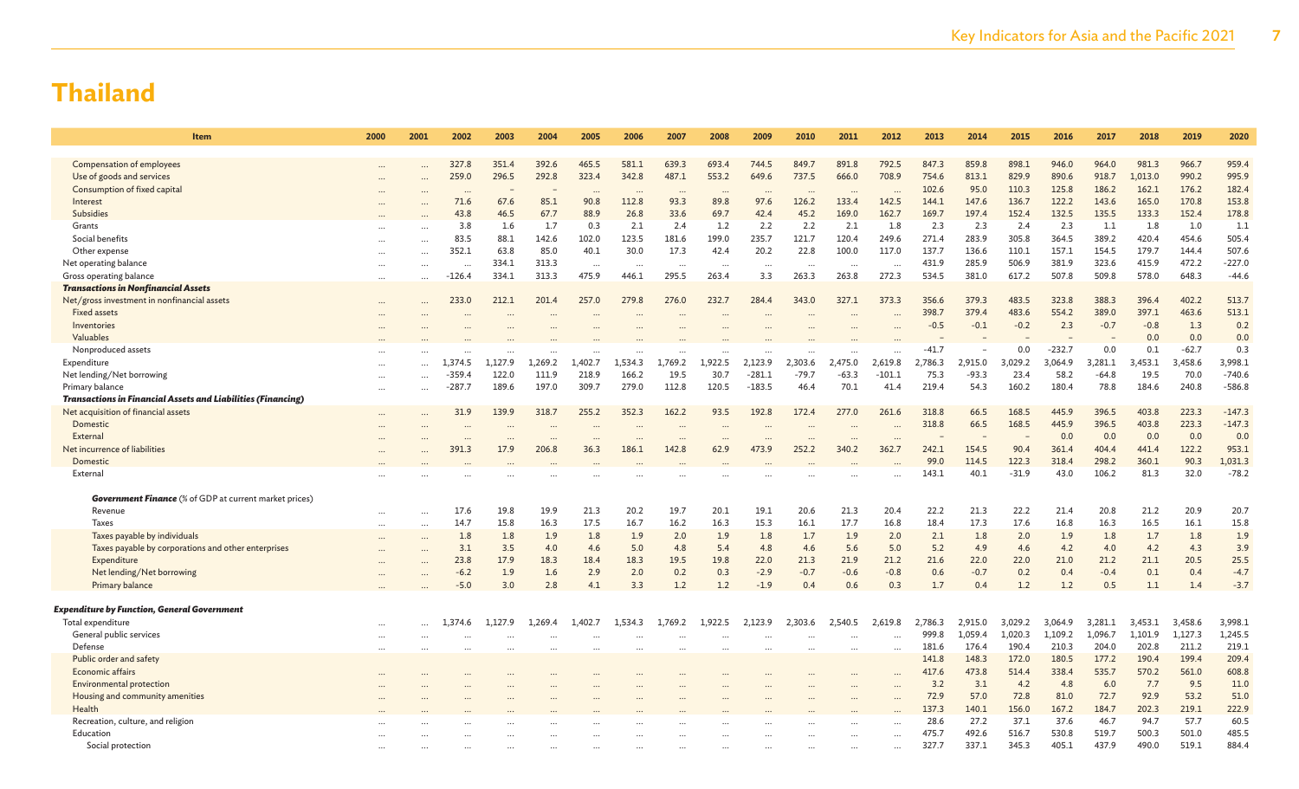| Item                                                          | 2000      | 2001      | 2002     | 2003    | 2004     | 2005     | 2006     | 2007     | 2008     | 2009                 | 2010     | 2011     | 2012     | 2013          | 2014          | 2015          | 2016          | 2017          | 2018          | 2019          | 2020          |
|---------------------------------------------------------------|-----------|-----------|----------|---------|----------|----------|----------|----------|----------|----------------------|----------|----------|----------|---------------|---------------|---------------|---------------|---------------|---------------|---------------|---------------|
|                                                               |           |           |          |         |          |          |          |          |          |                      |          |          |          |               |               |               |               |               |               |               |               |
| Compensation of employees                                     |           |           | 327.8    | 351.4   | 392.6    | 465.5    | 581.1    | 639.3    | 693.4    | 744.5                | 849.7    | 891.8    | 792.5    | 847.3         | 859.8         | 898.1         | 946.0         | 964.0         | 981.3         | 966.7         | 959.4         |
| Use of goods and services                                     | $\cdots$  |           | 259.0    | 296.5   | 292.8    | 323.4    | 342.8    | 487.1    | 553.2    | 649.6                | 737.5    | 666.0    | 708.9    | 754.6         | 813.1         | 829.9         | 890.6         | 918.7         | 1,013.0       | 990.2         | 995.9         |
| Consumption of fixed capital                                  |           |           | $\cdots$ |         |          |          | $\cdots$ | $\cdots$ | $\cdots$ | $\cdots$             | $\cdots$ | $\cdots$ | $\cdots$ | 102.6         | 95.0          | 110.3         | 125.8         | 186.2         | 162.1         | 176.2         | 182.4         |
| Interest                                                      |           |           | 71.6     | 67.6    | 85.1     | 90.8     | 112.8    | 93.3     | 89.8     | 97.6                 | 126.2    | 133.4    | 142.5    | 144.1         | 147.6         | 136.7         | 122.2         | 143.6         | 165.0         | 170.8         | 153.8         |
| <b>Subsidies</b>                                              |           |           | 43.8     | 46.5    | 67.7     | 88.9     | 26.8     | 33.6     | 69.7     | 42.4                 | 45.2     | 169.0    | 162.7    | 169.7         | 197.4         | 152.4         | 132.5         | 135.5         | 133.3         | 152.4         | 178.8         |
| Grants                                                        |           |           | 3.8      | 1.6     | 1.7      | 0.3      | 2.1      | 2.4      | 1.2      | 2.2                  | 2.2      | 2.1      | 1.8      | 2.3           | 2.3           | 2.4           | 2.3           | 1.1           | 1.8           | 1.0           | 1.1           |
| Social benefits                                               |           |           | 83.5     | 88.1    | 142.6    | 102.0    | 123.5    | 181.6    | 199.0    | 235.7                | 121.7    | 120.4    | 249.6    | 271.4         | 283.9         | 305.8         | 364.5         | 389.2         | 420.4         | 454.6         | 505.4         |
| Other expense                                                 | $\cdots$  |           | 352.1    | 63.8    | 85.0     | 40.1     | 30.0     | 17.3     | 42.4     | 20.2                 | 22.8     | 100.0    | 117.0    | 137.7         | 136.6         | 110.1         | 157.1         | 154.5         | 179.7         | 144.4         | 507.6         |
| Net operating balance                                         |           |           | $\cdot$  | 334.1   | 313.3    | $\cdots$ | $\cdots$ | $\cdots$ | $\cdots$ | $\cdots$             | $\cdots$ | $\ddots$ | $\cdots$ | 431.9         | 285.9         | 506.9         | 381.9         | 323.6         | 415.9         | 472.2         | $-227.0$      |
| Gross operating balance                                       | $\cdots$  |           | -126.4   | 334.1   | 313.3    | 475.9    | 446.1    | 295.5    | 263.4    | 3.3                  | 263.3    | 263.8    | 272.3    | 534.5         | 381.0         | 617.2         | 507.8         | 509.8         | 578.0         | 648.3         | $-44.6$       |
| <b>Transactions in Nonfinancial Assets</b>                    |           |           |          |         |          |          |          |          |          |                      |          |          |          |               |               |               |               |               |               |               |               |
| Net/gross investment in nonfinancial assets                   |           |           | 233.0    | 212.1   | 201.4    | 257.0    | 279.8    | 276.0    | 232.7    | 284.4                | 343.0    | 327.1    | 373.3    | 356.6         | 379.3         | 483.5         | 323.8         | 388.3         | 396.4         | 402.2         | 513.7         |
| <b>Fixed assets</b>                                           |           |           |          |         |          |          |          |          |          |                      |          |          |          | 398.7         | 379.4         | 483.6         | 554.2         | 389.0         | 397.1         | 463.6         | 513.1         |
| Inventories                                                   |           |           |          |         |          |          |          |          |          |                      |          |          |          | $-0.5$        | $-0.1$        | $-0.2$        | 2.3           | $-0.7$        | $-0.8$        | 1.3           | 0.2           |
| Valuables                                                     |           |           |          |         |          |          |          |          |          |                      |          |          |          |               |               |               |               |               | 0.0           | 0.0           | 0.0           |
| Nonproduced assets                                            |           |           | $\ldots$ |         | $\cdots$ |          |          |          | $\cdots$ |                      |          |          | $\cdots$ | $-41.7$       |               | 0.0           | $-232.7$      | 0.0           | 0.1           | $-62.7$       | 0.3           |
| Expenditure                                                   |           |           | 1.374.5  | 1.127.9 | 1,269.2  | 1.402.7  | 1.534.3  | 1.769.2  | 1.922.5  | 2.123.9              | 2,303.6  | 2.475.0  | 2,619.8  | 2,786.3       | 2,915.0       | 3,029.2       | 3.064.9       | 3,281.1       | 3,453.1       | 3,458.6       | 3,998.1       |
| Net lending/Net borrowing                                     |           |           | $-359.4$ | 122.0   | 111.9    | 218.9    | 166.2    | 19.5     | 30.7     | $-281.1$             | $-79.7$  | $-63.3$  | $-101.1$ | 75.3          | $-93.3$       | 23.4          | 58.2          | $-64.8$       | 19.5          | 70.0          | $-740.6$      |
| Primary balance                                               |           |           | -287.7   | 189.6   | 197.0    | 309.7    | 279.0    | 112.8    | 120.5    | $-183.5$             | 46.4     | 70.1     | 41.4     | 219.4         | 54.3          | 160.2         | 180.4         | 78.8          | 184.6         | 240.8         | $-586.8$      |
| Transactions in Financial Assets and Liabilities (Financing)  |           |           |          |         |          |          |          |          |          |                      |          |          |          |               |               |               |               |               |               |               |               |
| Net acquisition of financial assets                           |           |           | 31.9     | 139.9   | 318.7    | 255.2    | 352.3    | 162.2    | 93.5     | 192.8                | 172.4    | 277.0    | 261.6    | 318.8         | 66.5          | 168.5         | 445.9         | 396.5         | 403.8         | 223.3         | $-147.3$      |
| Domestic                                                      |           |           |          |         |          |          |          |          |          |                      |          |          | $\ddots$ | 318.8         | 66.5          | 168.5         | 445.9         | 396.5         | 403.8         | 223.3         | $-147.3$      |
| External                                                      |           |           |          |         |          |          |          |          |          | $\ddot{\phantom{a}}$ |          |          | $\cdots$ |               |               |               | 0.0           | 0.0           | 0.0           | 0.0           | 0.0           |
| Net incurrence of liabilities                                 |           |           | 391.3    | 17.9    | 206.8    | 36.3     | 186.1    | 142.8    | 62.9     | 473.9                | 252.2    | 340.2    | 362.7    | 242.1         | 154.5         | 90.4          | 361.4         | 404.4         | 441.4         | 122.2         | 953.1         |
| Domestic                                                      |           |           |          |         |          |          |          |          |          |                      |          |          |          | 99.0          | 114.5         | 122.3         | 318.4         | 298.2         | 360.1         | 90.3          | 1,031.3       |
| External                                                      |           |           |          |         |          |          |          |          |          |                      |          |          |          | 143.1         | 40.1          | $-31.9$       | 43.0          | 106.2         | 81.3          | 32.0          | $-78.2$       |
|                                                               |           |           |          |         |          |          |          |          |          |                      |          |          |          |               |               |               |               |               |               |               |               |
| <b>Government Finance</b> (% of GDP at current market prices) |           |           |          |         |          |          |          |          |          |                      |          |          |          |               |               |               |               |               |               |               |               |
| Revenue                                                       |           | $\ddotsc$ | 17.6     | 19.8    | 19.9     | 21.3     | 20.2     | 19.7     | 20.1     | 19.1                 | 20.6     | 21.3     | 20.4     | 22.2          | 21.3          | 22.2          | 21.4          | 20.8          | 21.2          | 20.9          | 20.7          |
| Taxes                                                         | $\cdots$  | $\cdots$  | 14.7     | 15.8    | 16.3     | 17.5     | 16.7     | 16.2     | 16.3     | 15.3                 | 16.1     | 17.7     | 16.8     | 18.4          | 17.3          | 17.6          | 16.8          | 16.3          | 16.5          | 16.1          | 15.8          |
| Taxes payable by individuals                                  | $\ddotsc$ | $\ddotsc$ | 1.8      | 1.8     | 1.9      | 1.8      | 1.9      | 2.0      | 1.9      | 1.8                  | 1.7      | 1.9      | 2.0      | 2.1           | 1.8           | 2.0           | 1.9           | 1.8           | 1.7           | 1.8           | 1.9           |
| Taxes payable by corporations and other enterprises           |           |           | 3.1      | 3.5     | 4.0      | 4.6      | 5.0      | 4.8      | 5.4      | 4.8                  | 4.6      | 5.6      | 5.0      | 5.2           | 4.9           | 4.6           | 4.2           | 4.0           | 4.2           | 4.3           | 3.9           |
| Expenditure                                                   |           | $\ddotsc$ | 23.8     | 17.9    | 18.3     | 18.4     | 18.3     | 19.5     | 19.8     | 22.0                 | 21.3     | 21.9     | 21.2     | 21.6          | 22.0          | 22.0          | 21.0          | 21.2          | 21.1          | 20.5          | 25.5          |
| Net lending/Net borrowing                                     |           | $\ddotsc$ | $-6.2$   | 1.9     | 1.6      | 2.9      | 2.0      | 0.2      | 0.3      | $-2.9$               | $-0.7$   | $-0.6$   | $-0.8$   | 0.6           | $-0.7$        | 0.2           | 0.4           | $-0.4$        | 0.1           | 0.4           | $-4.7$        |
| Primary balance                                               |           |           | $-5.0$   | 3.0     | 2.8      | 4.1      | 3.3      | 1.2      | 1.2      | $-1.9$               | 0.4      | 0.6      | 0.3      | 1.7           | 0.4           | 1.2           | 1.2           | 0.5           | 1.1           | 1.4           | $-3.7$        |
|                                                               |           |           |          |         |          |          |          |          |          |                      |          |          |          |               |               |               |               |               |               |               |               |
| <b>Expenditure by Function, General Government</b>            |           |           |          |         |          |          |          |          |          |                      |          |          |          |               |               |               |               |               |               |               |               |
| Total expenditure                                             |           |           | .374.6   | 1,127.9 | 1,269.4  | 1,402.7  | 1,534.3  | 1,769.2  | 1,922.5  | 2,123.9              | 2,303.6  | 2,540.5  | 2,619.8  | 2,786.3       | 2,915.0       | 3,029.2       | 3,064.9       | 3,281.1       | 3,453.1       | 3,458.6       | 3,998.1       |
| General public services                                       | $\cdots$  |           |          |         | $\cdots$ |          |          |          |          |                      |          |          | $\cdots$ | 999.8         | 1,059.4       | 1,020.3       | 1,109.2       | 1,096.7       | 1,101.9       | 1,127.3       | 1,245.5       |
| Defense                                                       | $\cdots$  |           |          |         |          |          |          |          |          |                      |          |          | $\cdots$ | 181.6         | 176.4         | 190.4         | 210.3         | 204.0         | 202.8         | 211.2         | 219.1         |
| Public order and safety                                       |           |           |          |         |          |          |          |          |          |                      |          |          |          | 141.8         | 148.3         | 172.0         | 180.5         | 177.2         | 190.4         | 199.4         | 209.4         |
| Economic affairs                                              |           |           |          |         |          |          |          |          |          |                      |          |          | $\ddots$ | 417.6         | 473.8         | 514.4         | 338.4<br>4.8  | 535.7         | 570.2         | 561.0         | 608.8<br>11.0 |
| <b>Environmental protection</b>                               |           |           |          |         |          |          |          |          |          |                      |          |          |          | 3.2<br>72.9   | 3.1<br>57.0   | 4.2<br>72.8   | 81.0          | 6.0<br>72.7   | 7.7<br>92.9   | 9.5<br>53.2   | 51.0          |
| Housing and community amenities<br>Health                     |           |           |          |         |          |          |          |          |          |                      |          |          | $\cdots$ | 137.3         | 140.1         | 156.0         | 167.2         | 184.7         | 202.3         | 219.1         | 222.9         |
|                                                               |           |           |          |         |          |          |          |          |          |                      |          |          |          |               |               |               |               |               |               |               | 60.5          |
| Recreation, culture, and religion<br>Education                |           |           |          |         |          |          |          |          |          |                      |          |          | $\cdots$ | 28.6<br>475.7 | 27.2<br>492.6 | 37.1<br>516.7 | 37.6<br>530.8 | 46.7<br>519.7 | 94.7<br>500.3 | 57.7<br>501.0 | 485.5         |
| Social protection                                             |           |           |          |         |          |          |          |          |          |                      |          |          | $\cdots$ | 327.7         | 337.1         | 345.3         | 405.1         | 437.9         | 490.0         | 519.1         | 884.          |
|                                                               |           |           |          |         |          |          |          |          |          |                      |          |          | $\cdots$ |               |               |               |               |               |               |               |               |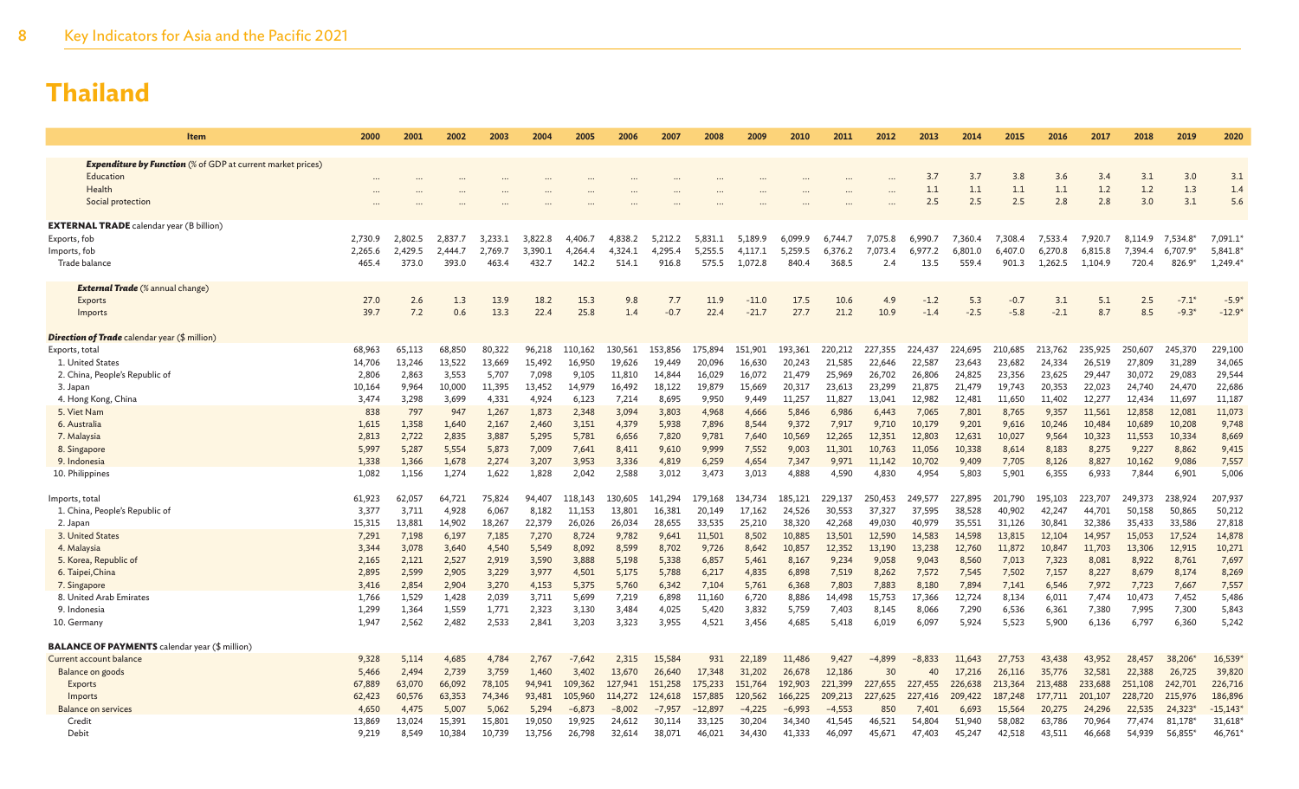| <b>Item</b>                                                            | 2000            | 2001            | 2002             | 2003             | 2004             | 2005             | 2006             | 2007             | 2008             | 2009             | 2010             | 2011             | 2012             | 2013             | 2014             | 2015             | 2016             | 2017             | 2018             | 2019             | 2020             |
|------------------------------------------------------------------------|-----------------|-----------------|------------------|------------------|------------------|------------------|------------------|------------------|------------------|------------------|------------------|------------------|------------------|------------------|------------------|------------------|------------------|------------------|------------------|------------------|------------------|
| <b>Expenditure by Function</b> (% of GDP at current market prices)     |                 |                 |                  |                  |                  |                  |                  |                  |                  |                  |                  |                  |                  |                  |                  |                  |                  |                  |                  |                  |                  |
| Education                                                              |                 |                 |                  |                  |                  |                  |                  |                  |                  |                  |                  |                  |                  | 3.7              | 3.7              | 3.8              | 3.6              | 3.4              | 3.1              | 3.0              | 3.1              |
| Health                                                                 |                 |                 |                  |                  |                  |                  |                  |                  |                  |                  |                  |                  |                  | 1.1              | 1.1              | 1.1              | 1.1              | 1.2              | 1.2              | 1.3              | 1.4              |
| Social protection                                                      |                 |                 |                  |                  |                  |                  |                  |                  |                  |                  |                  |                  |                  | 2.5              | 2.5              | 2.5              | 2.8              | 2.8              | 3.0              | 3.1              | 5.6              |
|                                                                        |                 |                 |                  |                  |                  |                  |                  |                  |                  |                  |                  |                  |                  |                  |                  |                  |                  |                  |                  |                  |                  |
| <b>EXTERNAL TRADE</b> calendar year (B billion)                        |                 |                 |                  |                  |                  |                  |                  |                  |                  |                  |                  |                  |                  |                  |                  |                  |                  |                  |                  |                  |                  |
| Exports, fob                                                           | 2.730.9         | 2,802.5         | 2.837.7          | 3.233.1          | 3.822.8          | 4,406.7          | 4.838.2          | 5,212.2          | 5.831.1          | 5,189.9          | 6.099.9          | 6.744.7          | 7.075.8          | 6.990.7          | 7.360.4          | 7.308.4          | 7.533.4          | 7.920.7          | 8,114.9          | 7.534.8*         | 7,091.1          |
| Imports, fob                                                           | 2.265.6         | 2.429.5         | 2.444.7          | 2.769.7          | 3.390.1          | 4.264.4          | 4.324.1          | 4.295.4          | 5.255.5          | 4.117.1          | 5.259.5          | 6.376.2          | 7.073.4          | 6.977.2          | 6.801.0          | 6.407.0          | 6.270.8          | 6.815.8          | 7.394.4          | 6,707.9*         | 5,841.8          |
| Trade balance                                                          | 465.4           | 373.0           | 393.0            | 463.4            | 432.7            | 142.2            | 514.1            | 916.8            | 575.5            | 1.072.8          | 840.4            | 368.5            | 2.4              | 13.5             | 559.4            | 901.3            | 1,262.5          | 1.104.9          | 720.4            | $826.9*$         | 1,249.4          |
| <b>External Trade</b> (% annual change)                                |                 |                 |                  |                  |                  |                  |                  |                  |                  |                  |                  |                  |                  |                  |                  |                  |                  |                  |                  |                  |                  |
| <b>Exports</b>                                                         | 27.0            | 2.6             | 1.3              | 13.9             | 18.2             | 15.3             | 9.8              | 7.7              | 11.9             | $-11.0$          | 17.5             | 10.6             | 4.9              | $-1.2$           | 5.3              | $-0.7$           | 3.1              | 5.1              | 2.5              | $-7.1*$          | $-5.9*$          |
| Imports                                                                | 39.7            | 7.2             | 0.6              | 13.3             | 22.4             | 25.8             | 1.4              | $-0.7$           | 22.4             | $-21.7$          | 27.7             | 21.2             | 10.9             | $-1.4$           | $-2.5$           | $-5.8$           | $-2.1$           | 8.7              | 8.5              | $-9.3$           | $-12.9*$         |
|                                                                        |                 |                 |                  |                  |                  |                  |                  |                  |                  |                  |                  |                  |                  |                  |                  |                  |                  |                  |                  |                  |                  |
| <b>Direction of Trade</b> calendar year (\$ million)<br>Exports, total | 68,963          | 65,113          | 68,850           | 80,322           | 96,218           | 110,162          | 130.561          | 153,856          | 175,894          | 151.901          | 193.361          | 220,212          | 227.355          | 224,437          | 224,695          | 210,685          | 213,762          | 235,925          | 250,607          | 245,370          | 229,100          |
| 1. United States                                                       | 14.706          | 13,246          | 13,522           | 13,669           | 15,492           | 16,950           | 19,626           | 19,449           | 20,096           | 16,630           | 20,243           | 21,585           | 22,646           | 22,587           | 23,643           | 23,682           | 24,334           | 26,519           | 27,809           | 31,289           | 34,065           |
| 2. China, People's Republic of                                         | 2,806           | 2,863           | 3,553            | 5,707            | 7,098            | 9,105            | 11,810           | 14,844           | 16,029           | 16,072           | 21,479           | 25,969           | 26,702           | 26,806           | 24,825           | 23,356           | 23,625           | 29,447           | 30,072           | 29,083           | 29,544           |
| 3. Japan                                                               | 10,164          | 9,964           | 10,000           | 11,395           | 13,452           | 14,979           | 16,492           | 18,122           | 19,879           | 15,669           | 20,317           | 23,613           | 23,299           | 21,875           | 21,479           | 19,743           | 20,353           | 22,023           | 24,740           | 24,470           | 22,686           |
| 4. Hong Kong, China                                                    | 3.474           | 3,298           | 3.699            | 4,331            | 4.924            | 6,123            | 7,214            | 8,695            | 9.950            | 9.449            | 11,257           | 11.827           | 13,041           | 12.982           | 12,481           | 11,650           | 11,402           | 12,277           | 12,434           | 11,697           | 11,187           |
| 5. Viet Nam                                                            | 838             | 797             | 947              | 1,267            | 1,873            | 2,348            | 3,094            | 3,803            | 4,968            | 4,666            | 5,846            | 6,986            | 6,443            | 7,065            | 7,801            | 8,765            | 9,357            | 11,561           | 12,858           | 12,081           | 11,073           |
| 6. Australia                                                           | 1,615           | 1,358           | 1,640            | 2,167            | 2,460            | 3,151            | 4,379            | 5,938            | 7,896            | 8,544            | 9,372            | 7,917            | 9,710            | 10,179           | 9,201            | 9,616            | 10,246           | 10,484           | 10,689           | 10,208           | 9,748            |
| 7. Malaysia                                                            | 2,813           | 2,722           | 2,835            | 3,887            | 5,295            | 5,781            | 6,656            | 7,820            | 9,781            | 7,640            | 10,569           | 12,265           | 12,351           | 12,803           | 12,631           | 10,027           | 9,564            | 10,323           | 11,553           | 10,334           | 8,669            |
| 8. Singapore                                                           | 5.997           | 5,287           | 5,554            | 5,873            | 7,009            | 7.641            | 8,411            | 9,610            | 9.999            | 7,552            | 9,003            | 11,301           | 10.763           | 11.056           | 10,338           | 8,614            | 8,183            | 8,275            | 9,227            | 8,862            | 9,415            |
| 9. Indonesia                                                           | 1,338           | 1,366           | 1,678            | 2,274            | 3,207            | 3,953            | 3,336            | 4,819            | 6,259            | 4,654            | 7,347            | 9,971            | 11,142           | 10,702           | 9,409            | 7,705            | 8,126            | 8,827            | 10,162           | 9,086            | 7,557            |
| 10. Philippines                                                        | 1,082           | 1,156           | 1,274            | 1,622            | 1,828            | 2,042            | 2,588            | 3,012            | 3,473            | 3,013            | 4,888            | 4,590            | 4,830            | 4,954            | 5,803            | 5,901            | 6,355            | 6,933            | 7,844            | 6,901            | 5,006            |
| Imports, total                                                         | 61,923          | 62,057          | 64,721           | 75,824           | 94,407           | 118,143          | 130,605          | 141,294          | 179,168          | 134,734          | 185,121          | 229,137          | 250,453          | 249,577          | 227,895          | 201,790          | 195,103          | 223,707          | 249,373          | 238,924          | 207,937          |
| 1. China, People's Republic of                                         | 3,377           | 3,711           | 4,928            | 6,067            | 8,182            | 11,153           | 13,801           | 16,381           | 20,149           | 17,162           | 24,526           | 30,553           | 37,327           | 37,595           | 38,528           | 40,902           | 42,247           | 44,701           | 50,158           | 50,865           | 50,212           |
| 2. Japan                                                               | 15,315          | 13,881          | 14.902           | 18,267           | 22,379           | 26,026           | 26,034           | 28,655           | 33,535           | 25,210           | 38,320           | 42,268           | 49,030           | 40,979           | 35,551           | 31.126           | 30.841           | 32,386           | 35,433           | 33,586           | 27,818           |
| 3. United States                                                       | 7,291           | 7,198           | 6,197            | 7,185            | 7,270            | 8,724            | 9,782            | 9,641            | 11,501           | 8,502            | 10,885           | 13,501           | 12,590           | 14,583           | 14,598           | 13,815           | 12,104           | 14,957           | 15,053           | 17,524           | 14,878           |
| 4. Malaysia                                                            | 3,344           | 3,078           | 3,640            | 4,540            | 5,549            | 8,092            | 8,599            | 8,702            | 9,726            | 8,642            | 10,857           | 12,352           | 13,190           | 13,238           | 12,760           | 11,872           | 10,847           | 11,703           | 13,306           | 12,915           | 10,271           |
| 5. Korea, Republic of                                                  | 2,165           | 2,121           | 2,527            | 2,919            | 3,590            | 3.888            | 5,198            | 5,338            | 6.857            | 5,461            | 8,167            | 9,234            | 9,058            | 9,043            | 8,560            | 7,013            | 7,323            | 8,081            | 8,922            | 8,761            | 7,697            |
| 6. Taipei, China                                                       | 2,895           | 2,599           | 2,905            | 3,229            | 3,977            | 4,501            | 5,175            | 5,788            | 6,217            | 4,835            | 6,898            | 7,519            | 8,262            | 7,572            | 7,545            | 7,502            | 7,157            | 8,227            | 8,679            | 8,174            | 8,269            |
| 7. Singapore                                                           | 3.416           | 2,854           | 2,904            | 3,270            | 4,153            | 5,375            | 5,760            | 6,342            | 7,104            | 5,761            | 6,368            | 7,803            | 7,883            | 8,180            | 7,894            | 7,141            | 6,546            | 7,972            | 7,723            | 7,667            | 7,557            |
| 8. United Arab Emirates                                                | 1.766           | 1,529           | 1,428            | 2,039            | 3,711            | 5,699            | 7,219            | 6,898            | 11,160           | 6,720            | 8,886            | 14,498           | 15,753           | 17,366           | 12,724           | 8,134            | 6,011            | 7,474            | 10,473           | 7,452            | 5,486            |
| 9. Indonesia<br>10. Germany                                            | 1,299<br>1,947  | 1,364<br>2,562  | 1,559<br>2,482   | 1,771<br>2,533   | 2,323<br>2,841   | 3,130<br>3,203   | 3,484<br>3,323   | 4,025<br>3,955   | 5,420<br>4,521   | 3,832<br>3,456   | 5,759<br>4,685   | 7,403<br>5,418   | 8,145<br>6,019   | 8,066<br>6,097   | 7,290<br>5,924   | 6,536<br>5,523   | 6,361<br>5,900   | 7,380<br>6,136   | 7,995<br>6,797   | 7,300<br>6,360   | 5,843<br>5,242   |
|                                                                        |                 |                 |                  |                  |                  |                  |                  |                  |                  |                  |                  |                  |                  |                  |                  |                  |                  |                  |                  |                  |                  |
| <b>BALANCE OF PAYMENTS</b> calendar year (\$ million)                  |                 |                 |                  |                  |                  |                  |                  |                  |                  |                  |                  |                  |                  |                  |                  |                  |                  |                  |                  |                  |                  |
| Current account balance                                                | 9,328           | 5,114           | 4,685            | 4,784            | 2,767            | $-7,642$         | 2,315            | 15,584           | 931              | 22,189           | 11,486           | 9,427            | $-4,899$         | $-8,833$         | 11,643           | 27,753           | 43,438           | 43,952           | 28,457           | 38,206           | 16,539           |
| Balance on goods                                                       | 5,466           | 2,494           | 2,739            | 3,759            | 1,460            | 3,402            | 13,670           | 26,640           | 17,348           | 31,202           | 26,678           | 12,186           | 30               | 40               | 17,216           | 26,116           | 35,776           | 32,581           | 22,388           | 26,725           | 39,820           |
| <b>Exports</b>                                                         | 67,889          | 63,070          | 66,092           | 78,105           | 94,941           | 109,362          | 127,941          | 151,258          | 175,233          | 151,764          | 192,903          | 221,399          | 227,655          | 227,455          | 226,638          | 213,364          | 213,488          | 233,688          | 251,108          | 242,701          | 226,716          |
| Imports                                                                | 62,423          | 60,576          | 63,353           | 74,346           | 93,481           | 105,960          | 114,272          | 124,618          | 157,885          | 120,562          | 166,225          | 209,213          | 227,625          | 227,416          | 209,422          | 187,248          | 177,711          | 201,107          | 228,720          | 215,976          | 186,896          |
| <b>Balance on services</b>                                             | 4,650           | 4,475           | 5,007            | 5,062            | 5,294            | $-6,873$         | $-8,002$         | $-7,957$         | $-12,897$        | $-4.225$         | $-6,993$         | $-4,553$         | 850              | 7,401            | 6,693            | 15,564           | 20,275           | 24,296           | 22,535           | 24,323           | $-15,143$        |
| Credit<br>Debit                                                        | 13,869<br>9,219 | 13,024<br>8,549 | 15,391<br>10,384 | 15,801<br>10,739 | 19,050<br>13,756 | 19,925<br>26,798 | 24,612<br>32,614 | 30,114<br>38,071 | 33.125<br>46,021 | 30,204<br>34,430 | 34,340<br>41,333 | 41.545<br>46,097 | 46.521<br>45,671 | 54,804<br>47,403 | 51,940<br>45,247 | 58,082<br>42,518 | 63.786<br>43,511 | 70,964<br>46,668 | 77,474<br>54,939 | 81,178<br>56,855 | 31,618<br>46,761 |
|                                                                        |                 |                 |                  |                  |                  |                  |                  |                  |                  |                  |                  |                  |                  |                  |                  |                  |                  |                  |                  |                  |                  |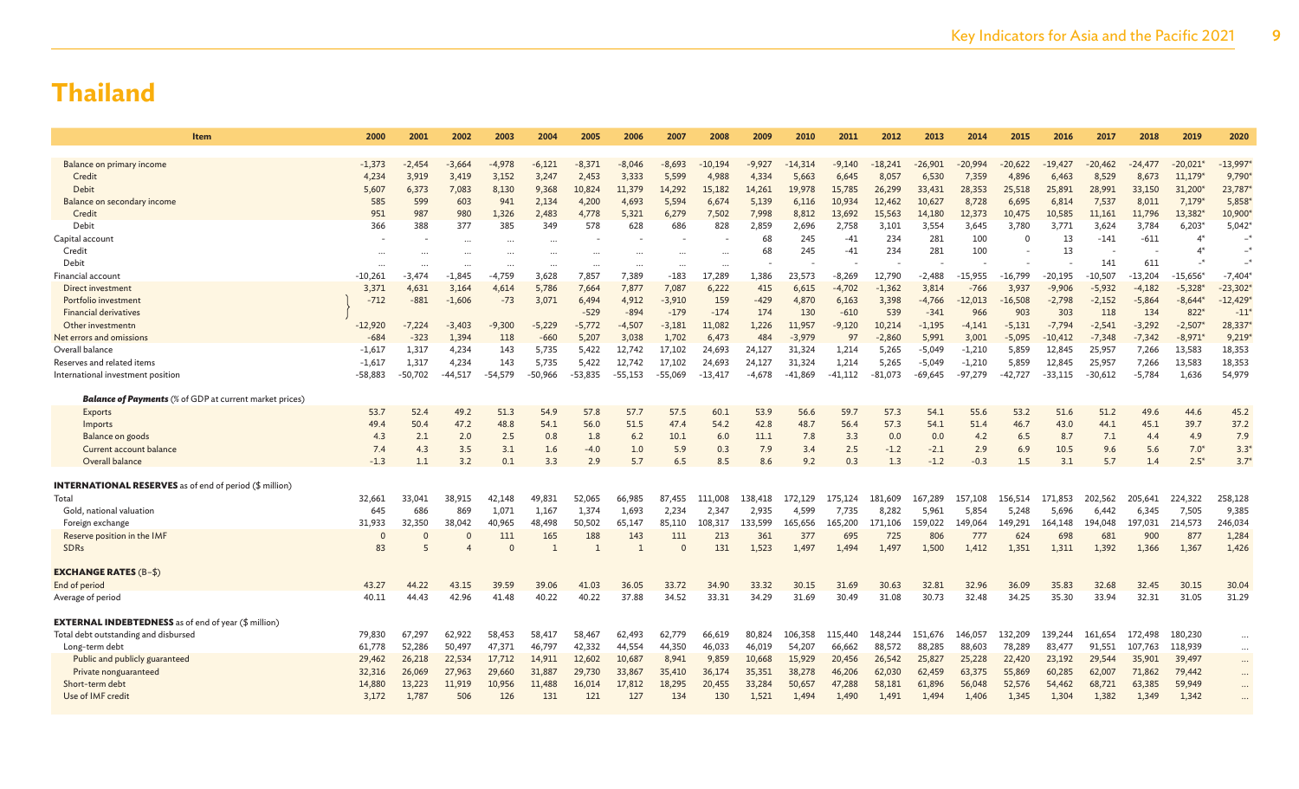| Item                                                           | 2000                 | 2001               | 2002              | 2003       | 2004               | 2005                 | 2006            | 2007              | 2008             | 2009             | 2010               | 2011        | 2012               | 2013                 | 2014                 | 2015                 | 2016             | 2017             | 2018           | 2019                   | 2020            |
|----------------------------------------------------------------|----------------------|--------------------|-------------------|------------|--------------------|----------------------|-----------------|-------------------|------------------|------------------|--------------------|-------------|--------------------|----------------------|----------------------|----------------------|------------------|------------------|----------------|------------------------|-----------------|
|                                                                |                      |                    |                   |            |                    |                      |                 |                   |                  |                  |                    |             |                    |                      |                      |                      |                  |                  |                |                        |                 |
| Balance on primary income                                      | $-1,373$             | $-2,454$           | $-3,664$          | $-4,978$   | $-6,121$           | $-8,371$             | $-8,046$        | $-8,693$          | $-10,194$        | $-9,927$         | $-14.314$          | $-9.140$    | $-18,241$          | $-26,901$            | $-20,994$            | $-20,622$            | $-19,427$        | $-20,462$        | $-24,477$      | $-20,021*$             | $-13,997$       |
| Credit                                                         | 4,234                | 3,919              | 3,419             | 3,152      | 3,247              | 2,453                | 3,333           | 5,599             | 4,988            | 4,334            | 5,663              | 6,645       | 8,057              | 6,530                | 7,359                | 4,896                | 6,463            | 8,529            | 8,673          | 11,179                 | 9,790           |
| Debit                                                          | 5.607                | 6.373              | 7,083             | 8.130      | 9.368              | 10,824               | 11.379          | 14,292            | 15,182           | 14.261           | 19,978             | 15,785      | 26,299             | 33,431               | 28,353               | 25.518               | 25,891           | 28,991           | 33,150         | 31,200                 | 23,787          |
| Balance on secondary income                                    | 585                  | 599                | 603               | 941        | 2,134              | 4,200                | 4,693           | 5,594             | 6,674            | 5,139            | 6,116              | 10,934      | 12,462             | 10,627               | 8,728                | 6,695                | 6,814            | 7,537            | 8,011          | 7,179                  | 5,858           |
| Credit                                                         | 951                  | 987                | 980               | 1,326      | 2,483              | 4,778                | 5,321           | 6,279             | 7,502            | 7,998            | 8,812              | 13,692      | 15,563             | 14,180               | 12,373               | 10,475               | 10,585           | 11,161           | 11,796         | 13,382                 | 10,900          |
| Debit                                                          | 366                  | 388                | 377               | 385        | 349                | 578                  | 628             | 686               | 828              | 2,859            | 2,696              | 2,758       | 3,101              | 3,554                | 3,645                | 3,780                | 3,771            | 3,624            | 3,784          | $6,203*$               | 5,042           |
| Capital account                                                |                      |                    | $\cdots$          | $\cdots$   | $\cdots$           |                      |                 |                   |                  | 68               | 245                | $-41$       | 234                | 281                  | 100                  | $\Omega$             | 13               | $-141$           | $-611$         | $4^*$                  | $-*$            |
| Credit                                                         | $\ddots$             |                    |                   | $\ddots$   |                    | $\ddot{\phantom{a}}$ |                 |                   |                  | 68               | 245                | $-41$       | 234                | 281                  | 100                  |                      | 13               |                  |                | $4^*$<br>$\rightarrow$ | $-*$<br>$-*$    |
| Debit                                                          |                      |                    |                   | $\cdots$   |                    |                      |                 |                   | $\ddots$         |                  |                    |             |                    |                      |                      |                      |                  | 141              | 611            |                        |                 |
| Financial account                                              | $-10.261$            | $-3,474$           | $-1,845$          | $-4.759$   | 3,628              | 7,857                | 7,389           | $-183$            | 17,289           | 1,386            | 23,573             | $-8,269$    | 12,790             | $-2,488$             | 15,955               | $-16,799$            | $-20,195$        | 10,507           | $-13,204$      | $-15,656*$             | $-7,404$        |
| Direct investment                                              | 3,371                | 4,631              | 3,164             | 4,614      | 5,786              | 7,664                | 7,877           | 7,087             | 6,222            | 415              | 6,615              | $-4,702$    | $-1,362$           | 3,814                | $-766$               | 3,937                | $-9,906$         | $-5,932$         | $-4,182$       | $-5,328*$              | $-23,302$       |
| Portfolio investment                                           | $-712$               | $-881$             | $-1,606$          | $-73$      | 3,071              | 6,494                | 4,912           | $-3,910$          | 159              | -429             | 4,870              | 6,163       | 3,398              | $-4,766$             | $-12,013$            | $-16,508$            | $-2,798$         | $-2,152$         | $-5,864$       | $-8,644*$              | $-12,429$       |
| <b>Financial derivatives</b>                                   |                      |                    |                   |            |                    | $-529$               | $-894$          | $-179$            | $-174$           | 174              | 130                | $-610$      | 539                | $-341$               | 966                  | 903                  | 303              | 118              | 134            | 822*                   | $-11$<br>28,337 |
| Other investmentn<br>Net errors and omissions                  | $-12,920$<br>$-684$  | $-7,224$<br>$-323$ | $-3,403$<br>1,394 | $-9,300$   | $-5,229$<br>$-660$ | $-5,772$<br>5,207    | $-4,507$        | $-3,181$<br>1,702 | 11,082           | 1,226            | 11,957             | $-9,120$    | 10,214<br>$-2,860$ | $-1,195$<br>5,991    | $-4,141$             | $-5,131$<br>$-5,095$ | $-7,794$         | $-2,541$         | $-3,292$       | $-2,507$               |                 |
| Overall balance                                                |                      |                    |                   | 118<br>143 | 5,735              |                      | 3,038<br>12,742 | 17,102            | 6,473            | 484              | $-3,979$<br>31,324 | 97<br>1,214 |                    |                      | 3,001                |                      | $-10,412$        | $-7,348$         | $-7,342$       | $-8,971'$              | 9,219<br>18,353 |
| Reserves and related items                                     | $-1,617$<br>$-1.617$ | 1,317<br>1,317     | 4,234<br>4,234    | 143        | 5.735              | 5,422<br>5.422       | 12,742          | 17,102            | 24,693<br>24.693 | 24,127<br>24.127 | 31.324             | 1.214       | 5,265<br>5.265     | $-5,049$<br>$-5,049$ | $-1,210$<br>$-1,210$ | 5,859<br>5.859       | 12,845<br>12,845 | 25,957<br>25,957 | 7,266<br>7,266 | 13,583<br>13,583       | 18,353          |
| International investment position                              | $-58.883$            | $-50,702$          | $-44,517$         | $-54.579$  | -50,966            | $-53,835$            | $-55,153$       | $-55,069$         | $-13,417$        | $-4.678$         | $-41,869$          | $-41,112$   | $-81.073$          | $-69,645$            | $-97,279$            | $-42.727$            | $-33,115$        | $-30,612$        | $-5,784$       | 1,636                  | 54,979          |
|                                                                |                      |                    |                   |            |                    |                      |                 |                   |                  |                  |                    |             |                    |                      |                      |                      |                  |                  |                |                        |                 |
| <b>Balance of Payments</b> (% of GDP at current market prices) |                      |                    |                   |            |                    |                      |                 |                   |                  |                  |                    |             |                    |                      |                      |                      |                  |                  |                |                        |                 |
| Exports                                                        | 53.7                 | 52.4               | 49.2              | 51.3       | 54.9               | 57.8                 | 57.7            | 57.5              | 60.1             | 53.9             | 56.6               | 59.7        | 57.3               | 54.1                 | 55.6                 | 53.2                 | 51.6             | 51.2             | 49.6           | 44.6                   | 45.2            |
| Imports                                                        | 49.4                 | 50.4               | 47.2              | 48.8       | 54.1               | 56.0                 | 51.5            | 47.4              | 54.2             | 42.8             | 48.7               | 56.4        | 57.3               | 54.1                 | 51.4                 | 46.7                 | 43.0             | 44.1             | 45.1           | 39.7                   | 37.2            |
| Balance on goods                                               | 4.3                  | 2.1                | 2.0               | 2.5        | 0.8                | 1.8                  | 6.2             | 10.1              | 6.0              | 11.1             | 7.8                | 3.3         | 0.0                | 0.0                  | 4.2                  | 6.5                  | 8.7              | 7.1              | 4.4            | 4.9                    | 7.9             |
| Current account balance                                        | 7.4                  | 4.3                | 3.5               | 3.1        | 1.6                | $-4.0$               | 1.0             | 5.9               | 0.3              | 7.9              | 3.4                | 2.5         | $-1.2$             | $-2.1$               | 2.9                  | 6.9                  | 10.5             | 9.6              | 5.6            | $7.0*$                 | 3.3'            |
| Overall balance                                                | $-1.3$               | 1.1                | 3.2               | 0.1        | 3.3                | 2.9                  | 5.7             | 6.5               | 8.5              | 8.6              | 9.2                | 0.3         | 1.3                | $-1.2$               | $-0.3$               | 1.5                  | 3.1              | 5.7              | 1.4            | $2.5*$                 | $3.7*$          |
|                                                                |                      |                    |                   |            |                    |                      |                 |                   |                  |                  |                    |             |                    |                      |                      |                      |                  |                  |                |                        |                 |
| <b>INTERNATIONAL RESERVES</b> as of end of period (\$ million) |                      |                    |                   |            |                    |                      |                 |                   |                  |                  |                    |             |                    |                      |                      |                      |                  |                  |                |                        |                 |
| Total                                                          | 32.661               | 33,041             | 38.915            | 42,148     | 49,831             | 52,065               | 66,985          | 87,455            | 111.008          | 138,418          | 172,129            | 175.124     | 181.609            | 167,289              | 157.108              | 156.514              | 171.853          | 202.562          | 205,641        | 224,322                | 258,128         |
| Gold, national valuation                                       | 645                  | 686                | 869               | 1,071      | 1,167              | 1,374                | 1,693           | 2,234             | 2,347            | 2,935            | 4,599              | 7,735       | 8,282              | 5,961                | 5,854                | 5,248                | 5,696            | 6,442            | 6,345          | 7,505                  | 9,385           |
| Foreign exchange                                               | 31,933               | 32.350             | 38,042            | 40,965     | 48,498             | 50,502               | 65,147          | 85,110            | 108,317          | 133,599          | 165,656            | 165,200     | 171,106            | 159,022              | 149,064              | 149,291              | 164,148          | 194,048          | 197,031        | 214,573                | 246,034         |
| Reserve position in the IMF                                    | $\Omega$             |                    | C                 | 111        | 165                | 188                  | 143             | 111               | 213              | 361              | 377                | 695         | 725                | 806                  | 777                  | 624                  | 698              | 681              | 900            | 877                    | 1,284           |
| <b>SDRs</b>                                                    | 83                   |                    |                   | $\Omega$   |                    |                      |                 | $\Omega$          | 131              | 1,523            | 1,497              | 1.494       | 1,497              | 1,500                | 1,412                | 1,351                | 1,311            | 1,392            | 1,366          | 1,367                  | 1,426           |
| <b>EXCHANGE RATES (B-\$)</b>                                   |                      |                    |                   |            |                    |                      |                 |                   |                  |                  |                    |             |                    |                      |                      |                      |                  |                  |                |                        |                 |
| End of period                                                  | 43.27                | 44.22              | 43.15             | 39.59      | 39.06              | 41.03                | 36.05           | 33.72             | 34.90            | 33.32            | 30.15              | 31.69       | 30.63              | 32.81                | 32.96                | 36.09                | 35.83            | 32.68            | 32.45          | 30.15                  | 30.04           |
| Average of period                                              | 40.11                | 44.43              | 42.96             | 41.48      | 40.22              | 40.22                | 37.88           | 34.52             | 33.31            | 34.29            | 31.69              | 30.49       | 31.08              | 30.73                | 32.48                | 34.25                | 35.30            | 33.94            | 32.31          | 31.05                  | 31.29           |
|                                                                |                      |                    |                   |            |                    |                      |                 |                   |                  |                  |                    |             |                    |                      |                      |                      |                  |                  |                |                        |                 |
| <b>EXTERNAL INDEBTEDNESS</b> as of end of year (\$ million)    |                      |                    |                   |            |                    |                      |                 |                   |                  |                  |                    |             |                    |                      |                      |                      |                  |                  |                |                        |                 |
| Total debt outstanding and disbursed                           | 79,830               | 67.297             | 62,922            | 58,453     | 58,417             | 58,467               | 62,493          | 62,779            | 66,619           | 80,824           | 106,358            | 115,440     | 148,244            | 151,676              | 146,057              | 132,209              | 139,244          | 161,654          | 172,498        | 180,230                | $\cdots$        |
| Long-term debt                                                 | 61,778               | 52,286             | 50,497            | 47,371     | 46,797             | 42,332               | 44,554          | 44,350            | 46,033           | 46,019           | 54,207             | 66,662      | 88,572             | 88,285               | 88,603               | 78,289               | 83,477           | 91,551           | 107,763        | 118,939                | $\cdots$        |
| Public and publicly guaranteed                                 | 29,462               | 26,218             | 22,534            | 17,712     | 14.911             | 12,602               | 10,687          | 8,941             | 9,859            | 10.668           | 15,929             | 20,456      | 26,542             | 25,827               | 25,228               | 22,420               | 23.192           | 29,544           | 35,901         | 39,497                 | $\cdots$        |
| Private nonguaranteed                                          | 32,316               | 26,069             | 27,963            | 29,660     | 31,887             | 29,730               | 33,867          | 35,410            | 36,174           | 35,351           | 38,278             | 46,206      | 62,030             | 62,459               | 63,375               | 55,869               | 60,285           | 62,007           | 71,862         | 79,442                 | $\cdots$        |
| Short-term debt                                                | 14,880               | 13.223             | 11.919            | 10,956     | 11,488             | 16,014               | 17,812          | 18,295            | 20,455           | 33,284           | 50,657             | 47,288      | 58,181             | 61,896               | 56,048               | 52,576               | 54,462           | 68,721           | 63,385         | 59,949                 | $\cdots$        |
| Use of IMF credit                                              | 3,172                | 1,787              | 506               | 126        | 131                | 121                  | 127             | 134               | 130              | 1,521            | 1,494              | 1,490       | 1,491              | 1,494                | 1,406                | 1,345                | 1,304            | 1,382            | 1,349          | 1,342                  |                 |
|                                                                |                      |                    |                   |            |                    |                      |                 |                   |                  |                  |                    |             |                    |                      |                      |                      |                  |                  |                |                        |                 |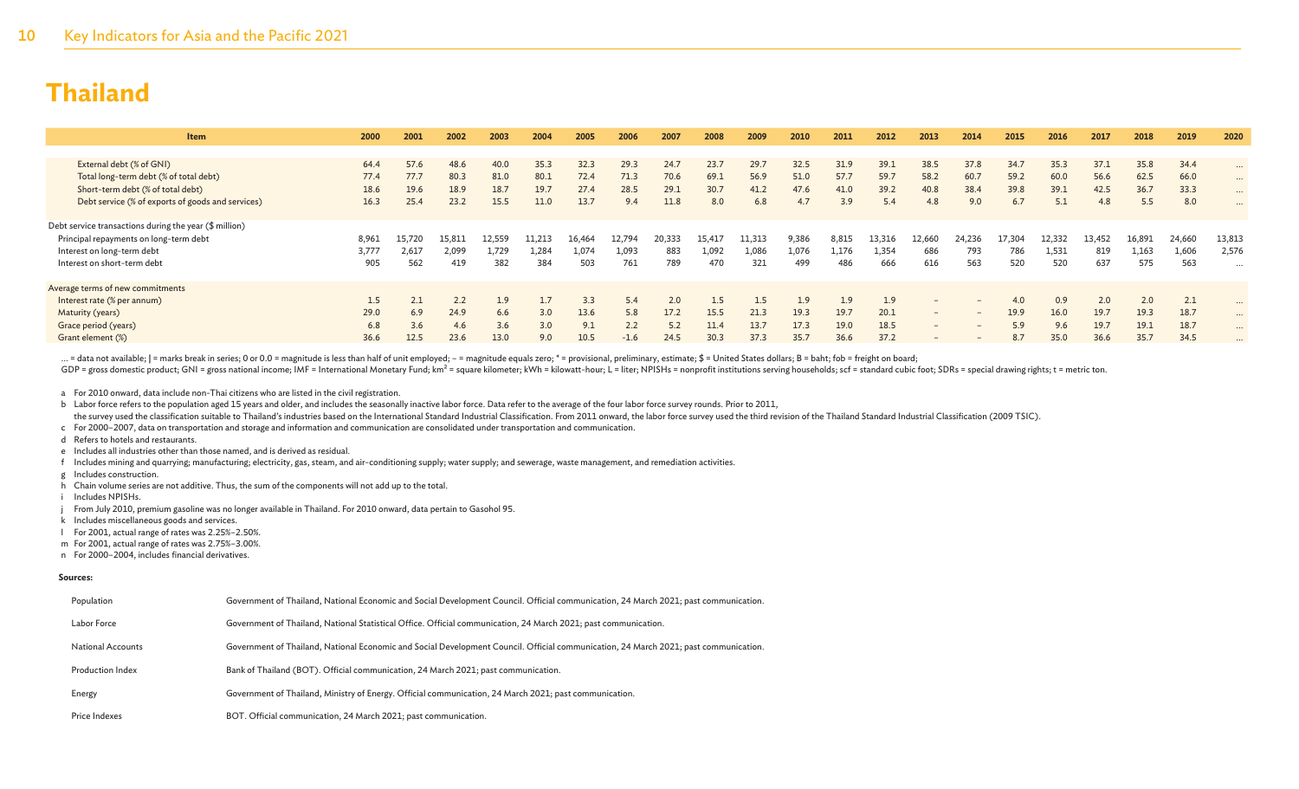| Item                                                   | 2000  | 2001   | 2002   | 2003   | 2004   | 2005   | 2006   | 2007   | 2008   | 2009   | 2010  | 2011  | 2012   | 2013                     | 2014                     | 2015   | 2016   | 2017   | 2018   | 2019   | 2020      |
|--------------------------------------------------------|-------|--------|--------|--------|--------|--------|--------|--------|--------|--------|-------|-------|--------|--------------------------|--------------------------|--------|--------|--------|--------|--------|-----------|
|                                                        |       |        |        |        |        |        |        |        |        |        |       |       |        |                          |                          |        |        |        |        |        |           |
| External debt (% of GNI)                               | 64.4  | 57.6   | 48.6   | 40.0   | 35.3   | 32.3   | 29.3   | 24.7   | 23.7   | 29.7   | 32.5  | 31.9  | 39.1   | 38.5                     | 37.8                     | 34.7   | 35.3   | 37.1   | 35.8   | 34.4   | $\cdots$  |
| Total long-term debt (% of total debt)                 | 77.4  | 77.7   | 80.3   | 81.0   | 80.1   | 72.4   | 71.3   | 70.6   | 69.1   | 56.9   | 51.0  | 57.7  | 59.7   | 58.2                     | 60.7                     | 59.2   | 60.0   | 56.6   | 62.5   | 66.0   | $\cdots$  |
| Short-term debt (% of total debt)                      | 18.6  | 19.6   | 18.9   | 18.7   | 19.7   | 27.4   | 28.5   | 29.1   | 30.7   | 41.2   | 47.6  | 41.0  | 39.2   | 40.8                     | 38.4                     | 39.8   | 39.1   | 42.5   | 36.7   | 33.3   | $\cdots$  |
| Debt service (% of exports of goods and services)      | 16.3  | 25.4   | 23.2   | 15.5   | 11.0   | 13.7   | 9.4    | 11.8   | 8.0    | 6.8    | 4.7   | 3.9   | 5.4    | 4.8                      | 9.0                      | 6.7    | 5.1    | 4.8    | 5.5    | 8.0    | $\cdots$  |
|                                                        |       |        |        |        |        |        |        |        |        |        |       |       |        |                          |                          |        |        |        |        |        |           |
| Debt service transactions during the year (\$ million) |       |        |        |        |        |        |        |        |        |        |       |       |        |                          |                          |        |        |        |        |        |           |
| Principal repayments on long-term debt                 | 8,961 | 15,720 | 15,811 | 12,559 | 11,213 | 16.464 | 12.794 | 20,333 | 15,417 | 11,313 | 9,386 | 8,815 | 13,316 | 12,660                   | 24,236                   | 17,304 | 12,332 | 13,452 | 16,891 | 24,660 | 13,813    |
| Interest on long-term debt                             | 3,777 | 2,617  | 2,099  | 1,729  | 1.284  | 1,074  | 1,093  | 883    | 1,092  | 1,086  | 1,076 | 1,176 | 1,354  | 686                      | 793                      | 786    | 1,531  | 819    | 1,163  | 1,606  | 2,576     |
| Interest on short-term debt                            | 905   | 562    | 419    | 382    | 384    | 503    | 761    | 789    | 470    | 321    | 499   | 486   | 666    | 616                      | 563                      | 520    | 520    | 637    | 575    | 563    | $\ddotsc$ |
|                                                        |       |        |        |        |        |        |        |        |        |        |       |       |        |                          |                          |        |        |        |        |        |           |
| Average terms of new commitments                       |       |        |        |        |        |        |        |        |        |        |       |       |        |                          |                          |        |        |        |        |        |           |
| Interest rate (% per annum)                            | 1.5   | 2.1    | 2.2    | 1.9    | 1.7    | 3.3    | 5.4    | 2.0    |        |        | 1.9   | 1.9   | 1.9    | $\overline{\phantom{0}}$ |                          | 4.0    | 0.9    | 2.0    | 2.0    | 2.1    | $\cdots$  |
| Maturity (years)                                       | 29.0  | 6.9    | 24.9   | 6.6    | 3.0    | 13.6   | 5.8    | 17.2   | 15.5   | 21.3   | 19.3  | 19.7  | 20.1   | $\overline{\phantom{0}}$ | $\overline{\phantom{0}}$ | 19.9   | 16.0   | 19.7   | 19.3   | 18.7   | $\cdots$  |
| Grace period (years)                                   | 6.8   | 3.6    | 4.6    | 3.6    | 3.0    | 9.1    | 2.2    | 5.2    | 11.4   | 13.7   | 17.3  | 19.0  | 18.5   | $\overline{\phantom{0}}$ | $\overline{\phantom{0}}$ | 5.9    | 9.6    | 19.7   | 19.1   | 18.7   | $\cdots$  |
| Grant element (%)                                      | 36.6  | 12.5   | 23.6   | 13.0   | 9.0    | 10.5   | $-1.6$ | 24.5   | 30.3   | 37.3   | 35.7  | 36.6  | 37.2   |                          | $\overline{\phantom{0}}$ | 8.7    | 35.0   | 36.6   | 35.7   | 34.5   | $\cdots$  |
|                                                        |       |        |        |        |        |        |        |        |        |        |       |       |        |                          |                          |        |        |        |        |        |           |

... = data not available; | = marks break in series; 0 or 0.0 = magnitude is less than half of unit employed; - = magnitude equals zero; \* = provisional, preliminary, estimate; \$ = United States dollars; B = baht; fob = fr

GDP = gross domestic product; GNI = gross national income; IMF = International Monetary Fund; km<sup>2</sup> = square kilometer; kWh = kilowatt-hour; L = liter; NPISHs = nonprofit institutions serving households; scf = standard cub

a For 2010 onward, data include non-Thai citizens who are listed in the civil registration.

b Labor force refers to the population aged 15 years and older, and includes the seasonally inactive labor force. Data refer to the average of the four labor force survey rounds. Prior to 2011, the survey used the classification suitable to Thailand's industries based on the International Standard Industrial Classification. From 2011 onward, the labor force survey used the third revision of the Thailand Standard

c For 2000–2007, data on transportation and storage and information and communication are consolidated under transportation and communication.

- d Refers to hotels and restaurants.
- e Includes all industries other than those named, and is derived as residual.
- f Includes mining and quarrying; manufacturing; electricity, gas, steam, and air-conditioning supply; water supply; and sewerage, waste management, and remediation activities.
- g Includes construction.
- h Chain volume series are not additive. Thus, the sum of the components will not add up to the total.
- i Includes NPISHs.
- j From July 2010, premium gasoline was no longer available in Thailand. For 2010 onward, data pertain to Gasohol 95.
- k Includes miscellaneous goods and services.
- l For 2001, actual range of rates was 2.25%–2.50%.
- m For 2001, actual range of rates was 2.75%–3.00%.
- n For 2000–2004, includes financial derivatives.

#### **Sources:**

| Population               | Government of Thailand, National Economic and Social Development Council. Official communication, 24 March 2021; past communication. |
|--------------------------|--------------------------------------------------------------------------------------------------------------------------------------|
| Labor Force              | Government of Thailand, National Statistical Office. Official communication, 24 March 2021; past communication.                      |
| <b>National Accounts</b> | Government of Thailand, National Economic and Social Development Council. Official communication, 24 March 2021; past communication. |
| Production Index         | Bank of Thailand (BOT). Official communication, 24 March 2021; past communication.                                                   |
| Energy                   | Government of Thailand, Ministry of Energy. Official communication, 24 March 2021; past communication.                               |
| Price Indexes            | BOT. Official communication, 24 March 2021; past communication.                                                                      |